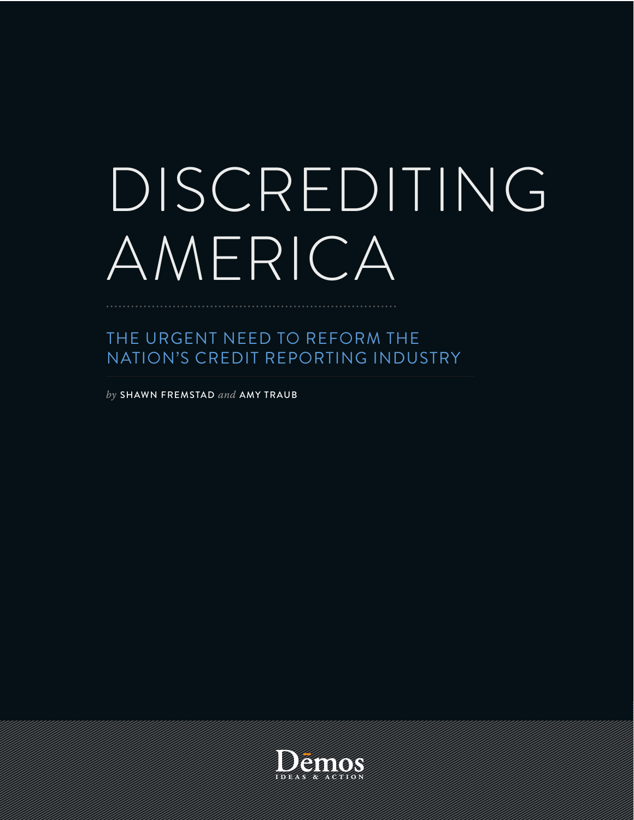# DISCREDITING AMERICA

# THE URGENT NEED TO REFORM THE NATION'S CREDIT REPORTING INDUSTRY

by SHAWN FREMSTAD and AMY TRAUB



I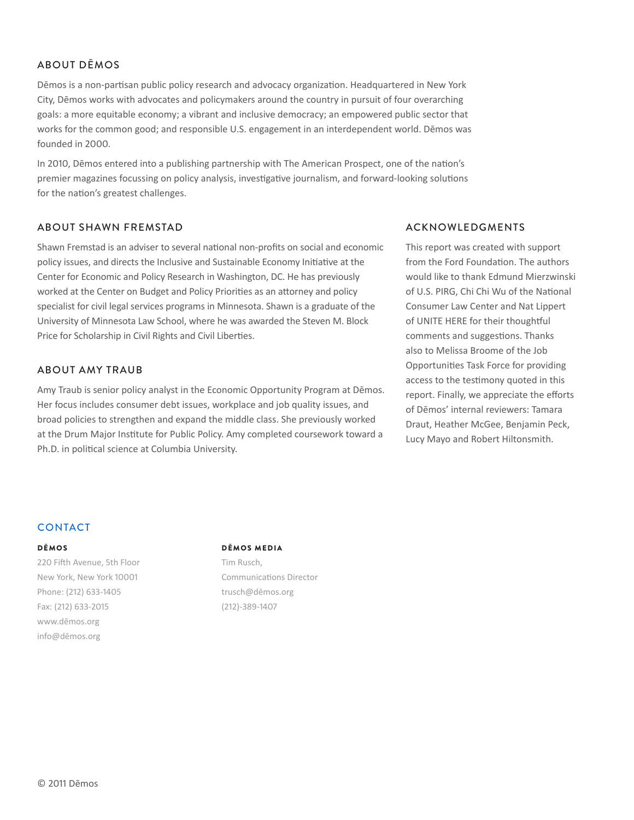#### ABOUT DĒMOS

Dēmos is a non-partisan public policy research and advocacy organization. Headquartered in New York City, Dēmos works with advocates and policymakers around the country in pursuit of four overarching goals: a more equitable economy; a vibrant and inclusive democracy; an empowered public sector that works for the common good; and responsible U.S. engagement in an interdependent world. Dēmos was founded in 2000.

In 2010, Dēmos entered into a publishing partnership with The American Prospect, one of the nation's premier magazines focussing on policy analysis, investigative journalism, and forward-looking solutions for the nation's greatest challenges.

#### ABOUT SHAWN FREMSTAD

Shawn Fremstad is an adviser to several national non-profits on social and economic policy issues, and directs the Inclusive and Sustainable Economy Initiative at the Center for Economic and Policy Research in Washington, DC. He has previously worked at the Center on Budget and Policy Priorities as an attorney and policy specialist for civil legal services programs in Minnesota. Shawn is a graduate of the University of Minnesota Law School, where he was awarded the Steven M. Block Price for Scholarship in Civil Rights and Civil Liberties.

#### ABOUT AMY TRAUB

Amy Traub is senior policy analyst in the Economic Opportunity Program at Dēmos. Her focus includes consumer debt issues, workplace and job quality issues, and broad policies to strengthen and expand the middle class. She previously worked at the Drum Major Institute for Public Policy. Amy completed coursework toward a Ph.D. in political science at Columbia University.

#### ACKNOWLEDGMENTS

This report was created with support from the Ford Foundation. The authors would like to thank Edmund Mierzwinski of U.S. PIRG, Chi Chi Wu of the National Consumer Law Center and Nat Lippert of UNITE HERE for their thoughtful comments and suggestions. Thanks also to Melissa Broome of the Job Opportunities Task Force for providing access to the testimony quoted in this report. Finally, we appreciate the efforts of Dēmos' internal reviewers: Tamara Draut, Heather McGee, Beniamin Peck. Lucy Mayo and Robert Hiltonsmith.

#### **CONTACT**

#### DĒMOS

220 Fifth Avenue, 5th Floor New York, New York 10001 Phone: (212) 633-1405 Fax: (212) 633-2015 www.dēmos.org info@dēmos.org

#### DĒMOS MEDIA

Tim Rusch. Communications Director trusch@dēmos.org  $(212) - 389 - 1407$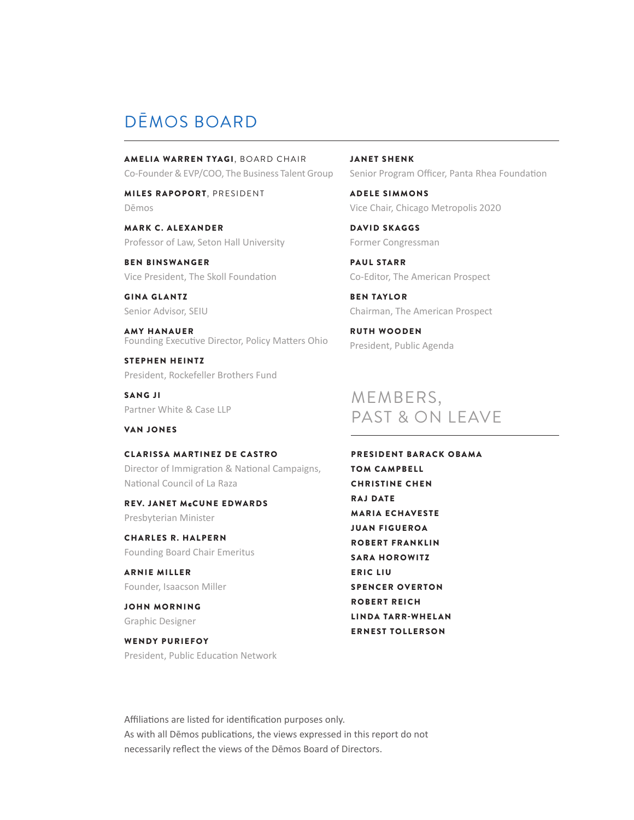## DĒMOS BOARD

AMELIA WARREN TYAGI, BOARD CHAIR Co-Founder & EVP/COO, The Business Talent Group

MILES RAPOPORT, PRESIDENT Dēmos

MARK C. ALEXANDER Professor of Law, Seton Hall University

BEN BINSWANGER Vice President. The Skoll Foundation

GINA GLANTZ Senior Advisor, SEIU

AMY HANAUER Founding Executive Director, Policy Matters Ohio

STEPHEN HEINTZ President, Rockefeller Brothers Fund

**SANG JI** Partner White & Case LLP

VAN JONES

CLARISSA MARTINEZ DE CASTRO Director of Immigration & National Campaigns, National Council of La Raza

REV. JANET McCUNE EDWARDS Presbyterian Minister

CHARLES R. HALPERN Founding Board Chair Emeritus

ARNIE MILLER Founder, Isaacson Miller

JOHN MORNING Graphic Designer

WENDY PURIEFOY

President, Public Education Network

JANET SHENK Senior Program Officer, Panta Rhea Foundation

ADELE SIMMONS Vice Chair, Chicago Metropolis 2020

DAVID SKAGGS Former Congressman

PAUL STARR Co-Editor, The American Prospect

BEN TAYLOR Chairman, The American Prospect

RUTH WOODEN President, Public Agenda

### MEMBERS, PAST & ON LEAVE

PRESIDENT BARACK OBAMA TOM CAMPBELL **CHRISTINE CHEN** RA J DATE MARIA ECHAVESTE JUAN FIGUEROA ROBERT FRANKLIN **SARA HOROWITZ** E RIC LIU SPENCER OVERTON ROBERT REICH LINDA TARR-WHELAN ERNEST TOLLERSON

Affiliations are listed for identification purposes only. As with all Dēmos publications, the views expressed in this report do not necessarily reflect the views of the Dēmos Board of Directors.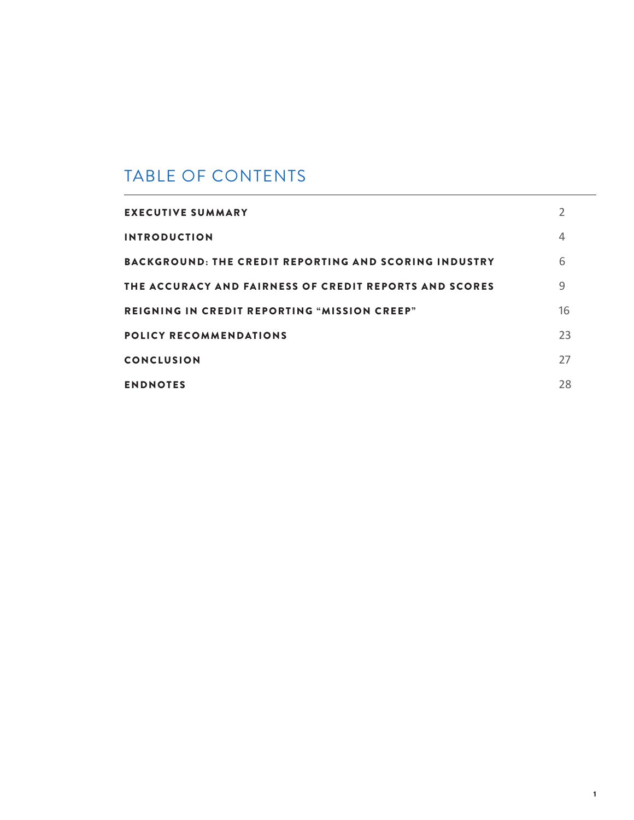# TABLE OF CONTENTS

| <b>EXECUTIVE SUMMARY</b>                                     |    |
|--------------------------------------------------------------|----|
| <b>INTRODUCTION</b>                                          | 4  |
| <b>BACKGROUND: THE CREDIT REPORTING AND SCORING INDUSTRY</b> | 6  |
| THE ACCURACY AND FAIRNESS OF CREDIT REPORTS AND SCORES       | 9  |
| <b>REIGNING IN CREDIT REPORTING "MISSION CREEP"</b>          | 16 |
| <b>POLICY RECOMMENDATIONS</b>                                | 23 |
| <b>CONCLUSION</b>                                            | 27 |
| <b>ENDNOTES</b>                                              | 28 |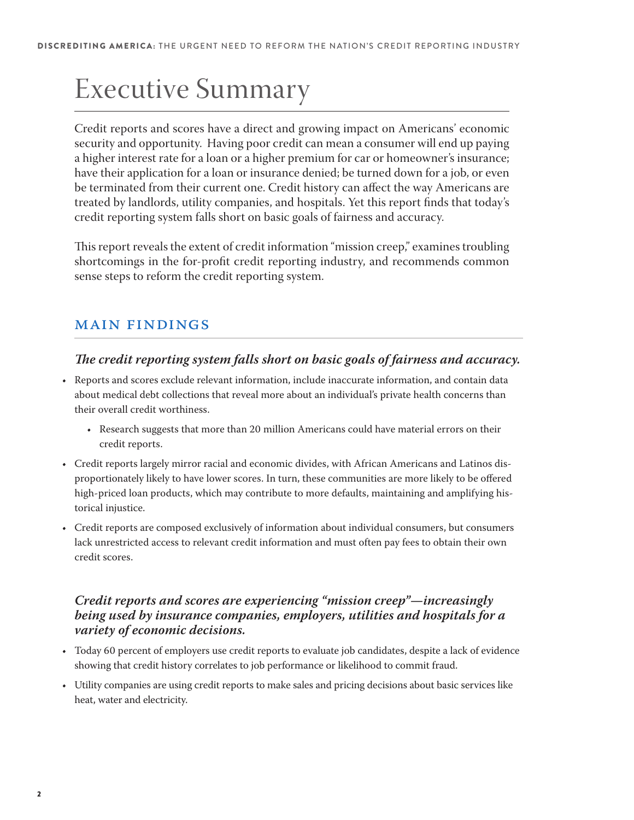# Executive Summary

Credit reports and scores have a direct and growing impact on Americans' economic security and opportunity. Having poor credit can mean a consumer will end up paying a higher interest rate for a loan or a higher premium for car or homeowner's insurance; have their application for a loan or insurance denied; be turned down for a job, or even be terminated from their current one. Credit history can affect the way Americans are treated by landlords, utility companies, and hospitals. Yet this report finds that today's credit reporting system falls short on basic goals of fairness and accuracy.

This report reveals the extent of credit information "mission creep," examines troubling shortcomings in the for-profit credit reporting industry, and recommends common sense steps to reform the credit reporting system.

### Main Findings

#### **!e credit reporting system falls short on basic goals of fairness and accuracy.**

- t Reports and scores exclude relevant information, include inaccurate information, and contain data about medical debt collections that reveal more about an individual's private health concerns than their overall credit worthiness.
	- Research suggests that more than 20 million Americans could have material errors on their credit reports.
- t Credit reports largely mirror racial and economic divides, with African Americans and Latinos disproportionately likely to have lower scores. In turn, these communities are more likely to be offered high-priced loan products, which may contribute to more defaults, maintaining and amplifying historical injustice.
- t Credit reports are composed exclusively of information about individual consumers, but consumers lack unrestricted access to relevant credit information and must often pay fees to obtain their own credit scores.

#### **Credit reports and scores are experiencing "mission creep"—increasingly being used by insurance companies, employers, utilities and hospitals for a variety of economic decisions.**

- Today 60 percent of employers use credit reports to evaluate job candidates, despite a lack of evidence showing that credit history correlates to job performance or likelihood to commit fraud.
- t Utility companies are using credit reports to make sales and pricing decisions about basic services like heat, water and electricity.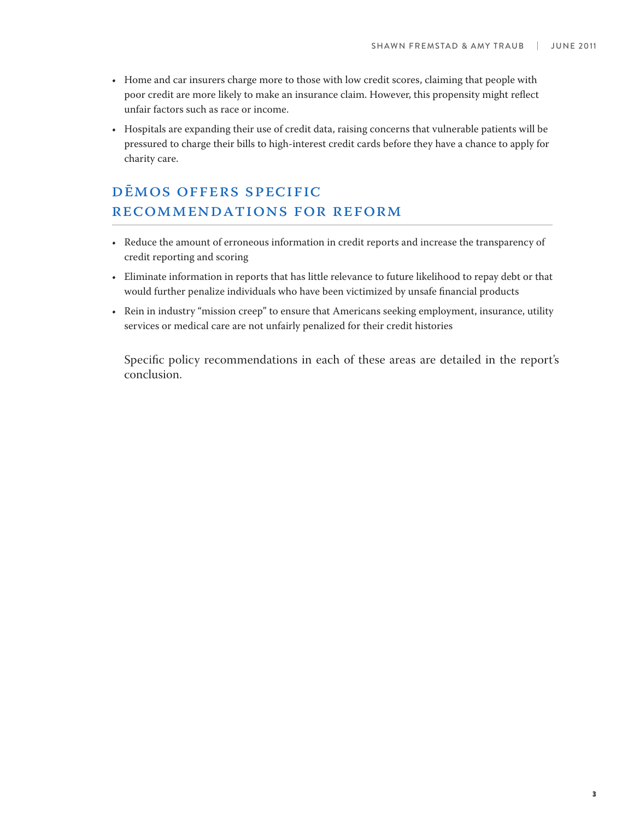- t Home and car insurers charge more to those with low credit scores, claiming that people with poor credit are more likely to make an insurance claim. However, this propensity might reflect unfair factors such as race or income.
- Hospitals are expanding their use of credit data, raising concerns that vulnerable patients will be pressured to charge their bills to high-interest credit cards before they have a chance to apply for charity care.

### Dēmos offers specific recommendations for reform

- Reduce the amount of erroneous information in credit reports and increase the transparency of credit reporting and scoring
- t Eliminate information in reports that has little relevance to future likelihood to repay debt or that would further penalize individuals who have been victimized by unsafe financial products
- t Rein in industry "mission creep" to ensure that Americans seeking employment, insurance, utility services or medical care are not unfairly penalized for their credit histories

Specific policy recommendations in each of these areas are detailed in the report's conclusion.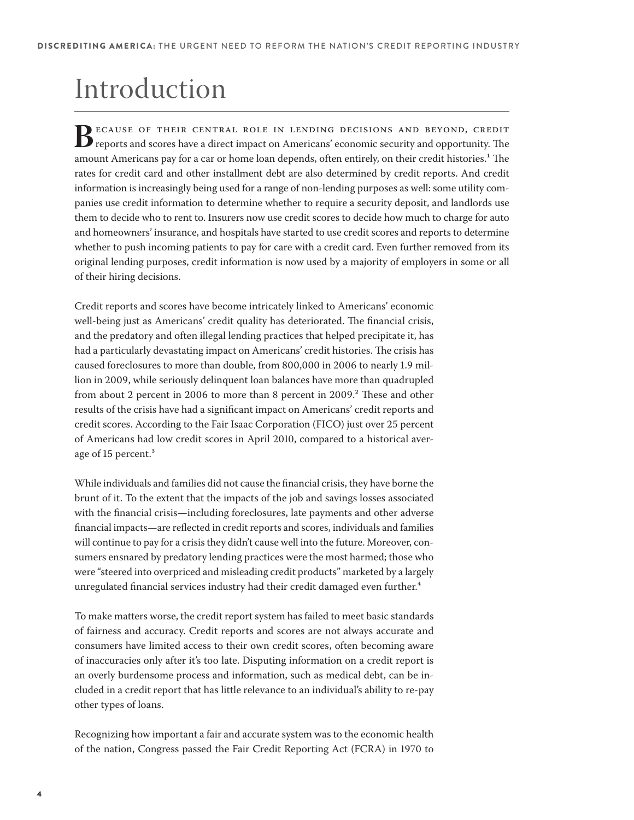# Introduction

**B**ECAUSE OF THEIR CENTRAL ROLE IN LENDING DECISIONS AND BEYOND, CREDIT<br>reports and scores have a direct impact on Americans' economic security and opportunity. The<br>amount Americans pay for a car or borne loan dopeds, ofte amount Americans pay for a car or home loan depends, often entirely, on their credit histories.<sup>1</sup> The rates for credit card and other installment debt are also determined by credit reports. And credit information is increasingly being used for a range of non-lending purposes as well: some utility companies use credit information to determine whether to require a security deposit, and landlords use them to decide who to rent to. Insurers now use credit scores to decide how much to charge for auto and homeowners' insurance, and hospitals have started to use credit scores and reports to determine whether to push incoming patients to pay for care with a credit card. Even further removed from its original lending purposes, credit information is now used by a majority of employers in some or all of their hiring decisions.

Credit reports and scores have become intricately linked to Americans' economic well-being just as Americans' credit quality has deteriorated. The financial crisis, and the predatory and often illegal lending practices that helped precipitate it, has had a particularly devastating impact on Americans' credit histories. The crisis has caused foreclosures to more than double, from 800,000 in 2006 to nearly 1.9 million in 2009, while seriously delinquent loan balances have more than quadrupled from about 2 percent in 2006 to more than 8 percent in 2009.<sup>2</sup> These and other results of the crisis have had a significant impact on Americans' credit reports and credit scores. According to the Fair Isaac Corporation (FICO) just over 25 percent of Americans had low credit scores in April 2010, compared to a historical average of 15 percent.<sup>3</sup>

While individuals and families did not cause the financial crisis, they have borne the brunt of it. To the extent that the impacts of the job and savings losses associated with the financial crisis—including foreclosures, late payments and other adverse financial impacts—are reflected in credit reports and scores, individuals and families will continue to pay for a crisis they didn't cause well into the future. Moreover, consumers ensnared by predatory lending practices were the most harmed; those who were "steered into overpriced and misleading credit products" marketed by a largely unregulated financial services industry had their credit damaged even further.<sup>4</sup>

To make matters worse, the credit report system has failed to meet basic standards of fairness and accuracy. Credit reports and scores are not always accurate and consumers have limited access to their own credit scores, often becoming aware of inaccuracies only after it's too late. Disputing information on a credit report is an overly burdensome process and information, such as medical debt, can be included in a credit report that has little relevance to an individual's ability to re-pay other types of loans.

Recognizing how important a fair and accurate system was to the economic health of the nation, Congress passed the Fair Credit Reporting Act (FCRA) in 1970 to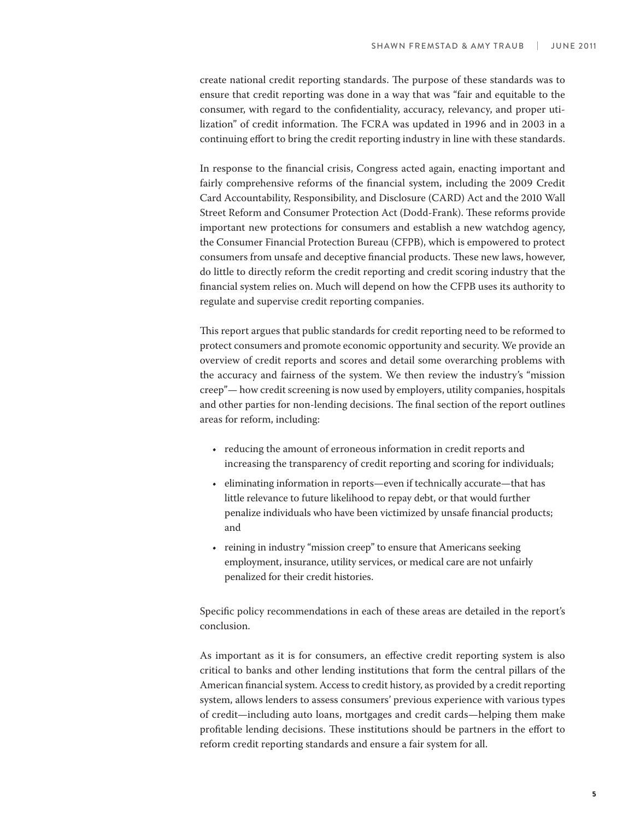create national credit reporting standards. The purpose of these standards was to ensure that credit reporting was done in a way that was "fair and equitable to the consumer, with regard to the confidentiality, accuracy, relevancy, and proper utilization" of credit information. The FCRA was updated in 1996 and in 2003 in a continuing effort to bring the credit reporting industry in line with these standards.

In response to the financial crisis, Congress acted again, enacting important and fairly comprehensive reforms of the financial system, including the 2009 Credit Card Accountability, Responsibility, and Disclosure (CARD) Act and the 2010 Wall Street Reform and Consumer Protection Act (Dodd-Frank). These reforms provide important new protections for consumers and establish a new watchdog agency, the Consumer Financial Protection Bureau (CFPB), which is empowered to protect consumers from unsafe and deceptive financial products. These new laws, however, do little to directly reform the credit reporting and credit scoring industry that the financial system relies on. Much will depend on how the CFPB uses its authority to regulate and supervise credit reporting companies.

This report argues that public standards for credit reporting need to be reformed to protect consumers and promote economic opportunity and security. We provide an overview of credit reports and scores and detail some overarching problems with the accuracy and fairness of the system. We then review the industry's "mission creep"— how credit screening is now used by employers, utility companies, hospitals and other parties for non-lending decisions. The final section of the report outlines areas for reform, including:

- reducing the amount of erroneous information in credit reports and increasing the transparency of credit reporting and scoring for individuals;
- eliminating information in reports—even if technically accurate—that has little relevance to future likelihood to repay debt, or that would further penalize individuals who have been victimized by unsafe financial products; and
- reining in industry "mission creep" to ensure that Americans seeking employment, insurance, utility services, or medical care are not unfairly penalized for their credit histories.

Specific policy recommendations in each of these areas are detailed in the report's conclusion.

As important as it is for consumers, an effective credit reporting system is also critical to banks and other lending institutions that form the central pillars of the American financial system. Access to credit history, as provided by a credit reporting system, allows lenders to assess consumers' previous experience with various types of credit—including auto loans, mortgages and credit cards—helping them make profitable lending decisions. These institutions should be partners in the effort to reform credit reporting standards and ensure a fair system for all.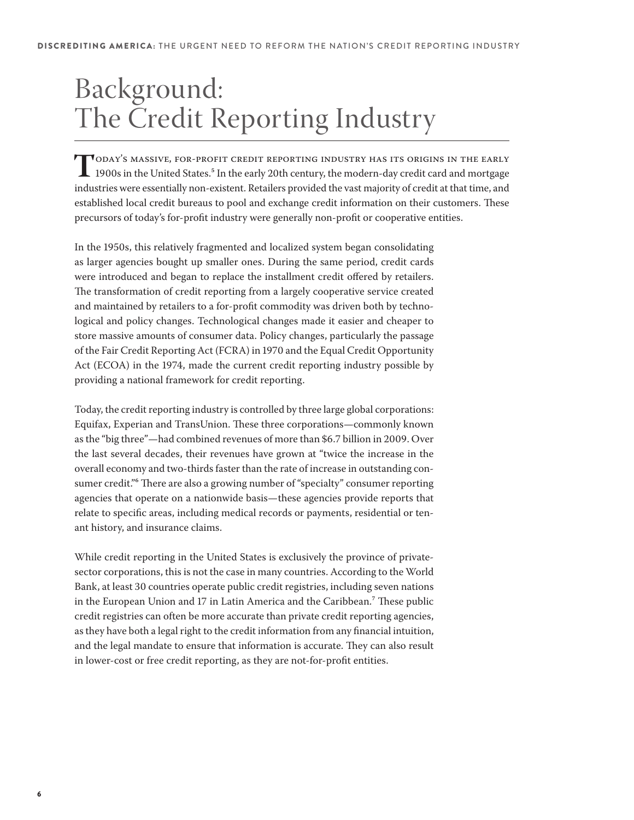# Background: The Credit Reporting Industry

**TODAY'S MASSIVE, FOR-PROFIT CREDIT REPORTING INDUSTRY HAS ITS ORIGINS IN THE EARLY**<br>1900s in the United States <sup>5</sup> In the early 20th assistant in the United States of 1900s in the United States.5 In the early 20th century, the modern-day credit card and mortgage industries were essentially non-existent. Retailers provided the vast majority of credit at that time, and established local credit bureaus to pool and exchange credit information on their customers. These precursors of today's for-profit industry were generally non-profit or cooperative entities.

In the 1950s, this relatively fragmented and localized system began consolidating as larger agencies bought up smaller ones. During the same period, credit cards were introduced and began to replace the installment credit offered by retailers. The transformation of credit reporting from a largely cooperative service created and maintained by retailers to a for-profit commodity was driven both by technological and policy changes. Technological changes made it easier and cheaper to store massive amounts of consumer data. Policy changes, particularly the passage of the Fair Credit Reporting Act (FCRA) in 1970 and the Equal Credit Opportunity Act (ECOA) in the 1974, made the current credit reporting industry possible by providing a national framework for credit reporting.

Today, the credit reporting industry is controlled by three large global corporations: Equifax, Experian and TransUnion. These three corporations—commonly known as the "big three"—had combined revenues of more than \$6.7 billion in 2009. Over the last several decades, their revenues have grown at "twice the increase in the overall economy and two-thirds faster than the rate of increase in outstanding consumer credit."<sup>6</sup> There are also a growing number of "specialty" consumer reporting agencies that operate on a nationwide basis—these agencies provide reports that relate to specific areas, including medical records or payments, residential or tenant history, and insurance claims.

While credit reporting in the United States is exclusively the province of privatesector corporations, this is not the case in many countries. According to the World Bank, at least 30 countries operate public credit registries, including seven nations in the European Union and 17 in Latin America and the Caribbean.<sup>7</sup> These public credit registries can often be more accurate than private credit reporting agencies, as they have both a legal right to the credit information from any financial intuition, and the legal mandate to ensure that information is accurate. They can also result in lower-cost or free credit reporting, as they are not-for-profit entities.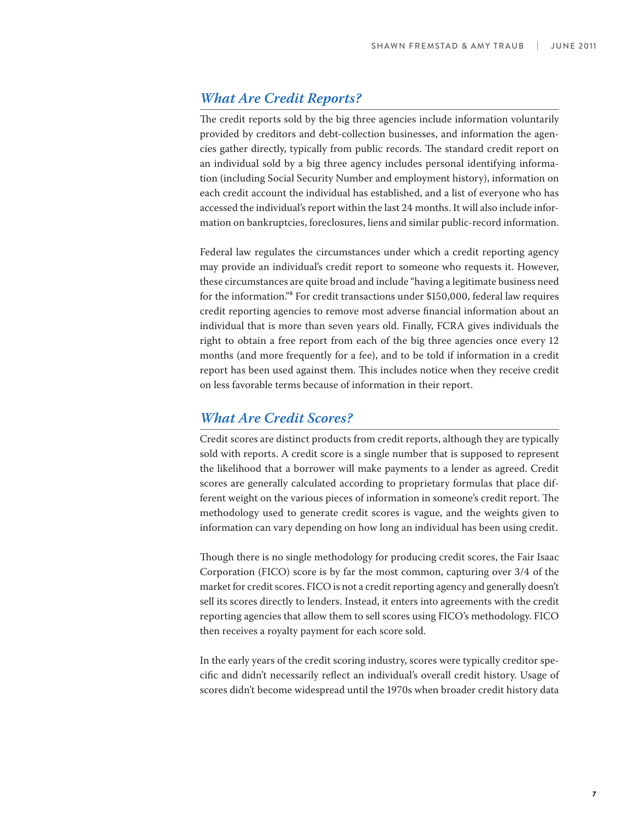#### **What Are Credit Reports?**

The credit reports sold by the big three agencies include information voluntarily provided by creditors and debt-collection businesses, and information the agencies gather directly, typically from public records. The standard credit report on an individual sold by a big three agency includes personal identifying information (including Social Security Number and employment history), information on each credit account the individual has established, and a list of everyone who has accessed the individual's report within the last 24 months. It will also include information on bankruptcies, foreclosures, liens and similar public-record information.

Federal law regulates the circumstances under which a credit reporting agency may provide an individual's credit report to someone who requests it. However, these circumstances are quite broad and include "having a legitimate business need for the information."8 For credit transactions under \$150,000, federal law requires credit reporting agencies to remove most adverse financial information about an individual that is more than seven years old. Finally, FCRA gives individuals the right to obtain a free report from each of the big three agencies once every 12 months (and more frequently for a fee), and to be told if information in a credit report has been used against them. This includes notice when they receive credit on less favorable terms because of information in their report.

#### **What Are Credit Scores?**

Credit scores are distinct products from credit reports, although they are typically sold with reports. A credit score is a single number that is supposed to represent the likelihood that a borrower will make payments to a lender as agreed. Credit scores are generally calculated according to proprietary formulas that place different weight on the various pieces of information in someone's credit report. The methodology used to generate credit scores is vague, and the weights given to information can vary depending on how long an individual has been using credit.

Though there is no single methodology for producing credit scores, the Fair Isaac Corporation (FICO) score is by far the most common, capturing over 3/4 of the market for credit scores. FICO is not a credit reporting agency and generally doesn't sell its scores directly to lenders. Instead, it enters into agreements with the credit reporting agencies that allow them to sell scores using FICO's methodology. FICO then receives a royalty payment for each score sold.

In the early years of the credit scoring industry, scores were typically creditor specific and didn't necessarily reflect an individual's overall credit history. Usage of scores didn't become widespread until the 1970s when broader credit history data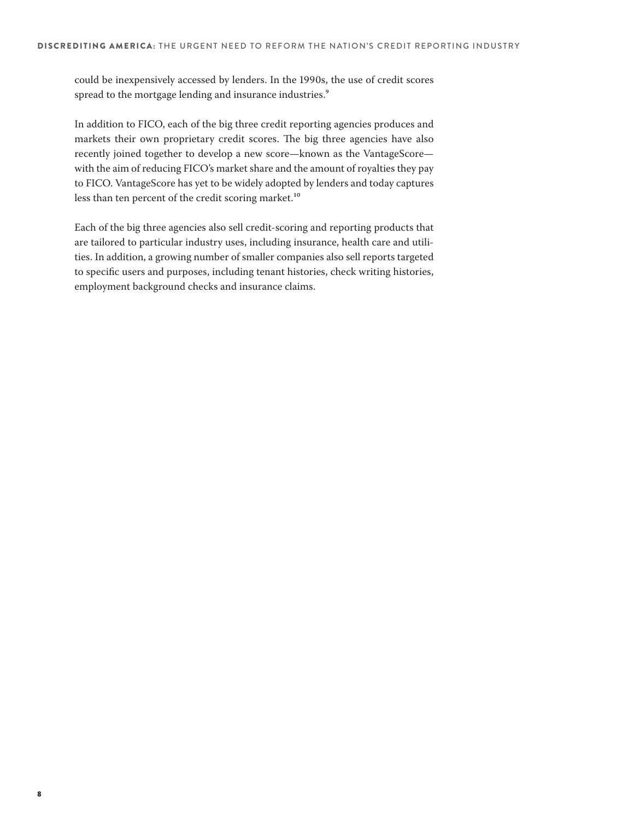could be inexpensively accessed by lenders. In the 1990s, the use of credit scores spread to the mortgage lending and insurance industries.<sup>9</sup>

In addition to FICO, each of the big three credit reporting agencies produces and markets their own proprietary credit scores. The big three agencies have also recently joined together to develop a new score—known as the VantageScore with the aim of reducing FICO's market share and the amount of royalties they pay to FICO. VantageScore has yet to be widely adopted by lenders and today captures less than ten percent of the credit scoring market.<sup>10</sup>

Each of the big three agencies also sell credit-scoring and reporting products that are tailored to particular industry uses, including insurance, health care and utilities. In addition, a growing number of smaller companies also sell reports targeted to specific users and purposes, including tenant histories, check writing histories, employment background checks and insurance claims.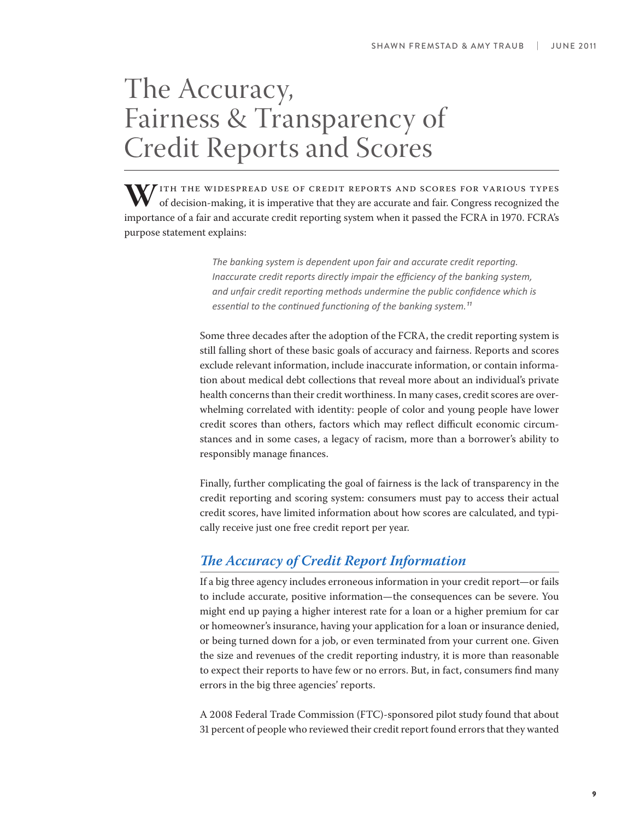# The Accuracy, Fairness & Transparency of Credit Reports and Scores

W/ITH THE WIDESPREAD USE OF CREDIT REPORTS AND SCORES FOR VARIOUS TYPES of decision-making, it is imperative that they are accurate and fair. Congress recognized the importance of a fair and accurate credit reporting system when it passed the FCRA in 1970. FCRA's purpose statement explains:

> The banking system is dependent upon fair and accurate credit reporting. *Inaccurate credit reports directly impair the efficiency of the banking system,* and unfair credit reporting methods undermine the public confidence which is essential to the continued functioning of the banking system.<sup>11</sup>

Some three decades after the adoption of the FCRA, the credit reporting system is still falling short of these basic goals of accuracy and fairness. Reports and scores exclude relevant information, include inaccurate information, or contain information about medical debt collections that reveal more about an individual's private health concerns than their credit worthiness. In many cases, credit scores are overwhelming correlated with identity: people of color and young people have lower credit scores than others, factors which may reflect difficult economic circumstances and in some cases, a legacy of racism, more than a borrower's ability to responsibly manage finances.

Finally, further complicating the goal of fairness is the lack of transparency in the credit reporting and scoring system: consumers must pay to access their actual credit scores, have limited information about how scores are calculated, and typically receive just one free credit report per year.

### **!e Accuracy of Credit Report Information**

If a big three agency includes erroneous information in your credit report—or fails to include accurate, positive information—the consequences can be severe. You might end up paying a higher interest rate for a loan or a higher premium for car or homeowner's insurance, having your application for a loan or insurance denied, or being turned down for a job, or even terminated from your current one. Given the size and revenues of the credit reporting industry, it is more than reasonable to expect their reports to have few or no errors. But, in fact, consumers find many errors in the big three agencies' reports.

A 2008 Federal Trade Commission (FTC)-sponsored pilot study found that about 31 percent of people who reviewed their credit report found errors that they wanted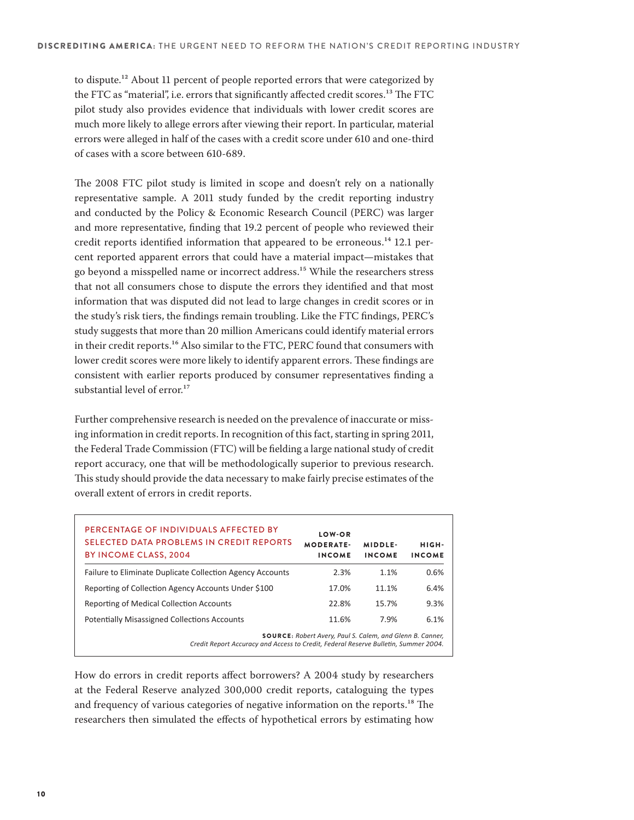to dispute.<sup>12</sup> About 11 percent of people reported errors that were categorized by the FTC as "material", i.e. errors that significantly affected credit scores.<sup>13</sup> The FTC pilot study also provides evidence that individuals with lower credit scores are much more likely to allege errors after viewing their report. In particular, material errors were alleged in half of the cases with a credit score under 610 and one-third of cases with a score between 610-689.

The 2008 FTC pilot study is limited in scope and doesn't rely on a nationally representative sample. A 2011 study funded by the credit reporting industry and conducted by the Policy & Economic Research Council (PERC) was larger and more representative, finding that 19.2 percent of people who reviewed their credit reports identified information that appeared to be erroneous.<sup>14</sup> 12.1 percent reported apparent errors that could have a material impact—mistakes that go beyond a misspelled name or incorrect address.<sup>15</sup> While the researchers stress that not all consumers chose to dispute the errors they identified and that most information that was disputed did not lead to large changes in credit scores or in the study's risk tiers, the findings remain troubling. Like the FTC findings, PERC's study suggests that more than 20 million Americans could identify material errors in their credit reports.<sup>16</sup> Also similar to the FTC, PERC found that consumers with lower credit scores were more likely to identify apparent errors. These findings are consistent with earlier reports produced by consumer representatives finding a substantial level of error.<sup>17</sup>

Further comprehensive research is needed on the prevalence of inaccurate or missing information in credit reports. In recognition of this fact, starting in spring 2011, the Federal Trade Commission (FTC) will be fielding a large national study of credit report accuracy, one that will be methodologically superior to previous research. This study should provide the data necessary to make fairly precise estimates of the overall extent of errors in credit reports.

| PERCENTAGE OF INDIVIDUALS AFFECTED BY<br><b>SELECTED DATA PROBLEMS IN CREDIT REPORTS</b><br>BY INCOME CLASS, 2004                                       | LOW-OR<br><b>MODERATE-</b><br><b>INCOME</b> | MIDDLE-<br><b>INCOME</b> | HIGH-<br><b>INCOME</b> |  |
|---------------------------------------------------------------------------------------------------------------------------------------------------------|---------------------------------------------|--------------------------|------------------------|--|
| Failure to Eliminate Duplicate Collection Agency Accounts                                                                                               | 2.3%                                        | 1.1%                     | 0.6%                   |  |
| Reporting of Collection Agency Accounts Under \$100                                                                                                     | 17.0%                                       | 11.1%                    | 6.4%                   |  |
| Reporting of Medical Collection Accounts                                                                                                                | 22.8%                                       | 15.7%                    | 9.3%                   |  |
| <b>Potentially Misassigned Collections Accounts</b>                                                                                                     | 11.6%                                       | 7.9%                     | 6.1%                   |  |
| <b>SOURCE:</b> Robert Avery, Paul S. Calem, and Glenn B. Canner,<br>Credit Report Accuracy and Access to Credit, Federal Reserve Bulletin, Summer 2004. |                                             |                          |                        |  |

How do errors in credit reports affect borrowers? A 2004 study by researchers at the Federal Reserve analyzed 300,000 credit reports, cataloguing the types and frequency of various categories of negative information on the reports.<sup>18</sup> The researchers then simulated the effects of hypothetical errors by estimating how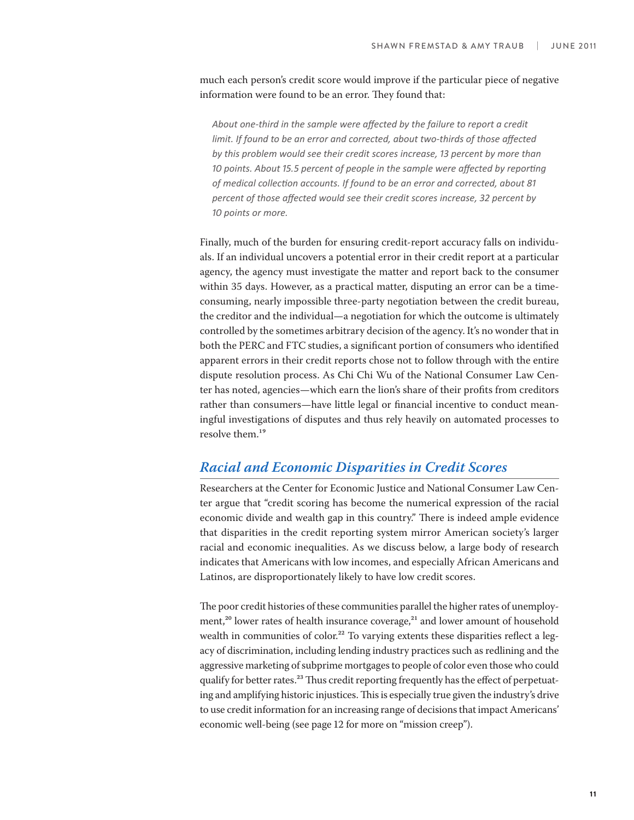much each person's credit score would improve if the particular piece of negative information were found to be an error. They found that:

*About one-third in the sample were affected by the failure to report a credit limit. If found to be an error and corrected, about two-thirds of those affected* by this problem would see their credit scores increase, 13 percent by more than 10 points. About 15.5 percent of people in the sample were affected by reporting of medical collection accounts. If found to be an error and corrected, about 81 percent of those affected would see their credit scores increase, 32 percent by 10 points or more.

Finally, much of the burden for ensuring credit-report accuracy falls on individuals. If an individual uncovers a potential error in their credit report at a particular agency, the agency must investigate the matter and report back to the consumer within 35 days. However, as a practical matter, disputing an error can be a timeconsuming, nearly impossible three-party negotiation between the credit bureau, the creditor and the individual—a negotiation for which the outcome is ultimately controlled by the sometimes arbitrary decision of the agency. It's no wonder that in both the PERC and FTC studies, a significant portion of consumers who identified apparent errors in their credit reports chose not to follow through with the entire dispute resolution process. As Chi Chi Wu of the National Consumer Law Center has noted, agencies—which earn the lion's share of their profits from creditors rather than consumers—have little legal or financial incentive to conduct meaningful investigations of disputes and thus rely heavily on automated processes to resolve them.<sup>19</sup>

#### **Racial and Economic Disparities in Credit Scores**

Researchers at the Center for Economic Justice and National Consumer Law Center argue that "credit scoring has become the numerical expression of the racial economic divide and wealth gap in this country." There is indeed ample evidence that disparities in the credit reporting system mirror American society's larger racial and economic inequalities. As we discuss below, a large body of research indicates that Americans with low incomes, and especially African Americans and Latinos, are disproportionately likely to have low credit scores.

The poor credit histories of these communities parallel the higher rates of unemployment, $20$  lower rates of health insurance coverage, $21$  and lower amount of household wealth in communities of color.<sup>22</sup> To varying extents these disparities reflect a legacy of discrimination, including lending industry practices such as redlining and the aggressive marketing of subprime mortgages to people of color even those who could qualify for better rates.<sup>23</sup> Thus credit reporting frequently has the effect of perpetuating and amplifying historic injustices. This is especially true given the industry's drive to use credit information for an increasing range of decisions that impact Americans' economic well-being (see page 12 for more on "mission creep").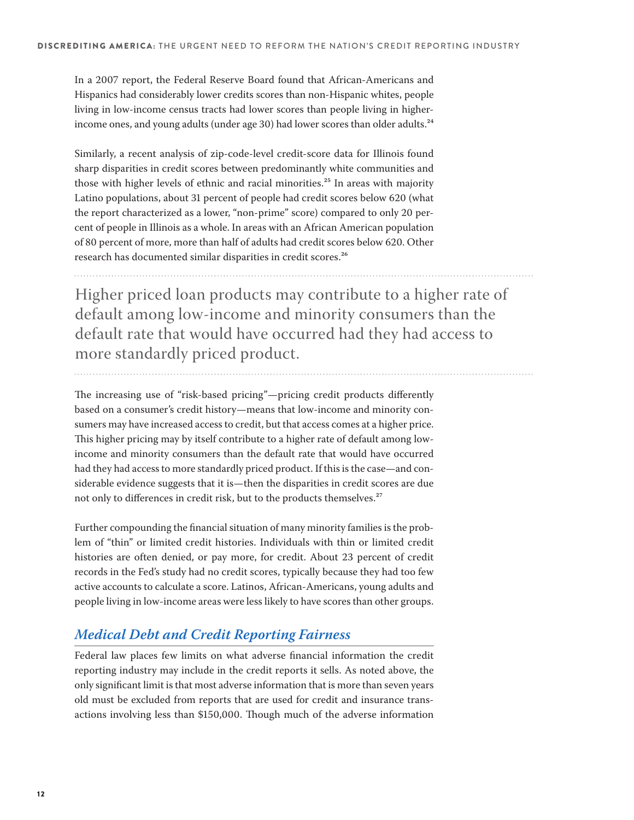In a 2007 report, the Federal Reserve Board found that African-Americans and Hispanics had considerably lower credits scores than non-Hispanic whites, people living in low-income census tracts had lower scores than people living in higherincome ones, and young adults (under age 30) had lower scores than older adults.<sup>24</sup>

Similarly, a recent analysis of zip-code-level credit-score data for Illinois found sharp disparities in credit scores between predominantly white communities and those with higher levels of ethnic and racial minorities.<sup>25</sup> In areas with majority Latino populations, about 31 percent of people had credit scores below 620 (what the report characterized as a lower, "non-prime" score) compared to only 20 percent of people in Illinois as a whole. In areas with an African American population of 80 percent of more, more than half of adults had credit scores below 620. Other research has documented similar disparities in credit scores.²6

Higher priced loan products may contribute to a higher rate of default among low-income and minority consumers than the default rate that would have occurred had they had access to more standardly priced product.

The increasing use of "risk-based pricing"—pricing credit products differently based on a consumer's credit history—means that low-income and minority consumers may have increased access to credit, but that access comes at a higher price. This higher pricing may by itself contribute to a higher rate of default among lowincome and minority consumers than the default rate that would have occurred had they had access to more standardly priced product. If this is the case—and considerable evidence suggests that it is—then the disparities in credit scores are due not only to differences in credit risk, but to the products themselves.<sup>27</sup>

Further compounding the financial situation of many minority families is the problem of "thin" or limited credit histories. Individuals with thin or limited credit histories are often denied, or pay more, for credit. About 23 percent of credit records in the Fed's study had no credit scores, typically because they had too few active accounts to calculate a score. Latinos, African-Americans, young adults and people living in low-income areas were less likely to have scores than other groups.

### **Medical Debt and Credit Reporting Fairness**

Federal law places few limits on what adverse financial information the credit reporting industry may include in the credit reports it sells. As noted above, the only significant limit is that most adverse information that is more than seven years old must be excluded from reports that are used for credit and insurance transactions involving less than \$150,000. Though much of the adverse information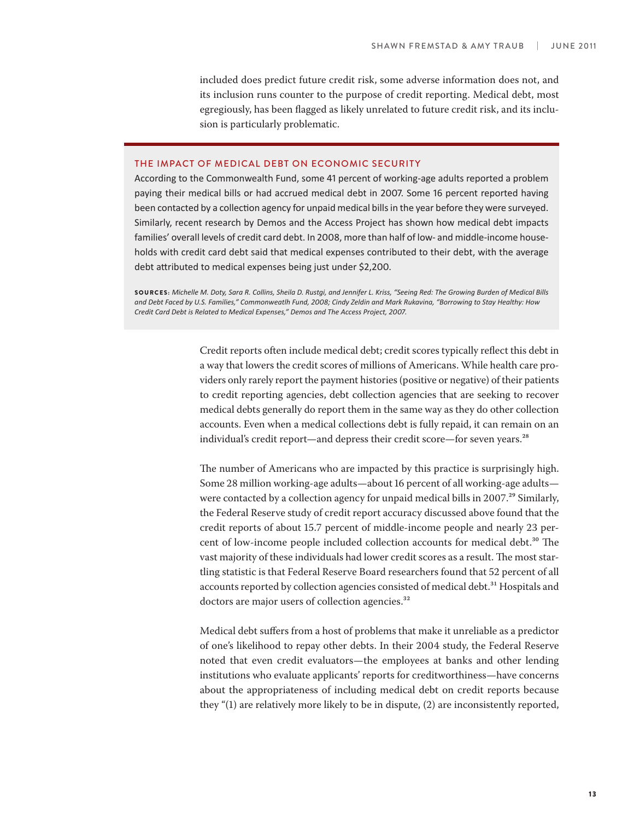included does predict future credit risk, some adverse information does not, and its inclusion runs counter to the purpose of credit reporting. Medical debt, most egregiously, has been flagged as likely unrelated to future credit risk, and its inclusion is particularly problematic.

#### THE IMPACT OF MEDICAL DEBT ON ECONOMIC SECURITY

According to the Commonwealth Fund, some 41 percent of working-age adults reported a problem paying their medical bills or had accrued medical debt in 2007. Some 16 percent reported having been contacted by a collection agency for unpaid medical bills in the year before they were surveyed. Similarly, recent research by Demos and the Access Project has shown how medical debt impacts families' overall levels of credit card debt. In 2008, more than half of low- and middle-income households with credit card debt said that medical expenses contributed to their debt, with the average debt attributed to medical expenses being just under \$2,200.

SOURCES: Michelle M. Doty, Sara R. Collins, Sheila D. Rustqi, and Jennifer L. Kriss, "Seeing Red: The Growing Burden of Medical Bills and Debt Faced by U.S. Families," Commonweatlh Fund, 2008; Cindy Zeldin and Mark Rukavina, "Borrowing to Stay Healthy: How Credit Card Debt is Related to Medical Expenses," Demos and The Access Project, 2007.

> Credit reports often include medical debt; credit scores typically reflect this debt in a way that lowers the credit scores of millions of Americans. While health care providers only rarely report the payment histories (positive or negative) of their patients to credit reporting agencies, debt collection agencies that are seeking to recover medical debts generally do report them in the same way as they do other collection accounts. Even when a medical collections debt is fully repaid, it can remain on an individual's credit report—and depress their credit score—for seven years.<sup>28</sup>

> The number of Americans who are impacted by this practice is surprisingly high. Some 28 million working-age adults—about 16 percent of all working-age adults were contacted by a collection agency for unpaid medical bills in 2007.<sup>29</sup> Similarly, the Federal Reserve study of credit report accuracy discussed above found that the credit reports of about 15.7 percent of middle-income people and nearly 23 percent of low-income people included collection accounts for medical debt.<sup>30</sup> The vast majority of these individuals had lower credit scores as a result. The most startling statistic is that Federal Reserve Board researchers found that 52 percent of all accounts reported by collection agencies consisted of medical debt.<sup>31</sup> Hospitals and doctors are major users of collection agencies.<sup>32</sup>

> Medical debt suffers from a host of problems that make it unreliable as a predictor of one's likelihood to repay other debts. In their 2004 study, the Federal Reserve noted that even credit evaluators—the employees at banks and other lending institutions who evaluate applicants' reports for creditworthiness—have concerns about the appropriateness of including medical debt on credit reports because they "(1) are relatively more likely to be in dispute, (2) are inconsistently reported,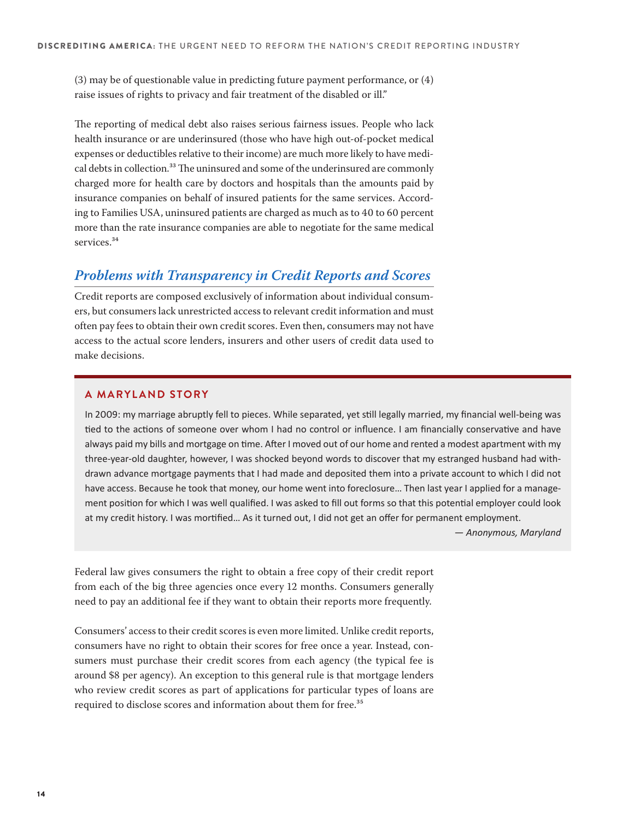(3) may be of questionable value in predicting future payment performance, or (4) raise issues of rights to privacy and fair treatment of the disabled or ill."

The reporting of medical debt also raises serious fairness issues. People who lack health insurance or are underinsured (those who have high out-of-pocket medical expenses or deductibles relative to their income) are much more likely to have medical debts in collection.<sup>33</sup> The uninsured and some of the underinsured are commonly charged more for health care by doctors and hospitals than the amounts paid by insurance companies on behalf of insured patients for the same services. According to Families USA, uninsured patients are charged as much as to 40 to 60 percent more than the rate insurance companies are able to negotiate for the same medical services.<sup>34</sup>

#### **Problems with Transparency in Credit Reports and Scores**

Credit reports are composed exclusively of information about individual consumers, but consumers lack unrestricted access to relevant credit information and must often pay fees to obtain their own credit scores. Even then, consumers may not have access to the actual score lenders, insurers and other users of credit data used to make decisions.

#### **A MARYLAND STORY**

In 2009: my marriage abruptly fell to pieces. While separated, yet still legally married, my financial well-being was tied to the actions of someone over whom I had no control or influence. I am financially conservative and have always paid my bills and mortgage on time. After I moved out of our home and rented a modest apartment with my three-year-old daughter, however, I was shocked beyond words to discover that my estranged husband had withdrawn advance mortgage payments that I had made and deposited them into a private account to which I did not have access. Because he took that money, our home went into foreclosure... Then last year I applied for a management position for which I was well qualified. I was asked to fill out forms so that this potential employer could look at my credit history. I was mortified... As it turned out, I did not get an offer for permanent employment.

 $-$  *Anonymous, Maryland* 

Federal law gives consumers the right to obtain a free copy of their credit report from each of the big three agencies once every 12 months. Consumers generally need to pay an additional fee if they want to obtain their reports more frequently.

Consumers' access to their credit scores is even more limited. Unlike credit reports, consumers have no right to obtain their scores for free once a year. Instead, consumers must purchase their credit scores from each agency (the typical fee is around \$8 per agency). An exception to this general rule is that mortgage lenders who review credit scores as part of applications for particular types of loans are required to disclose scores and information about them for free.<sup>35</sup>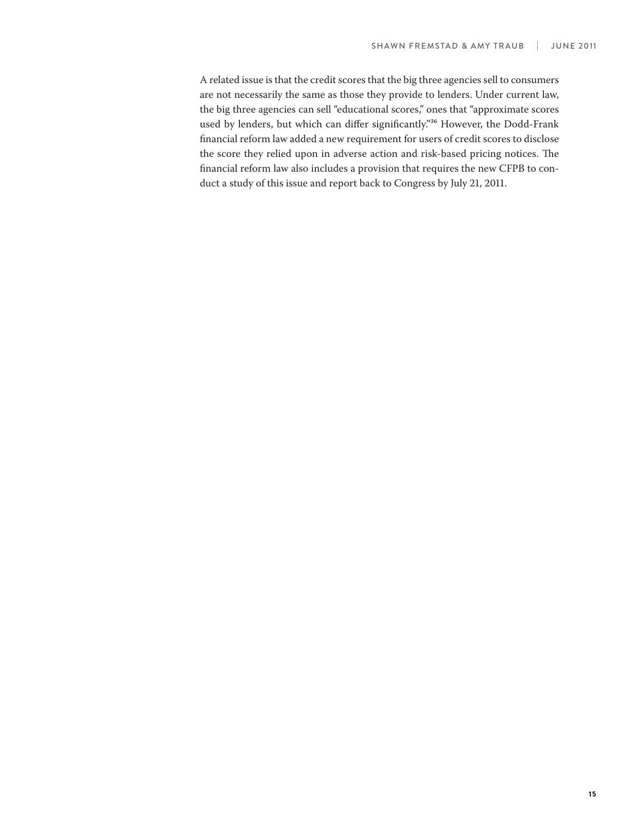A related issue is that the credit scores that the big three agencies sell to consumers are not necessarily the same as those they provide to lenders. Under current law, the big three agencies can sell "educational scores," ones that "approximate scores used by lenders, but which can differ significantly."<sup>36</sup> However, the Dodd-Frank financial reform law added a new requirement for users of credit scores to disclose the score they relied upon in adverse action and risk-based pricing notices. The financial reform law also includes a provision that requires the new CFPB to conduct a study of this issue and report back to Congress by July 21, 2011.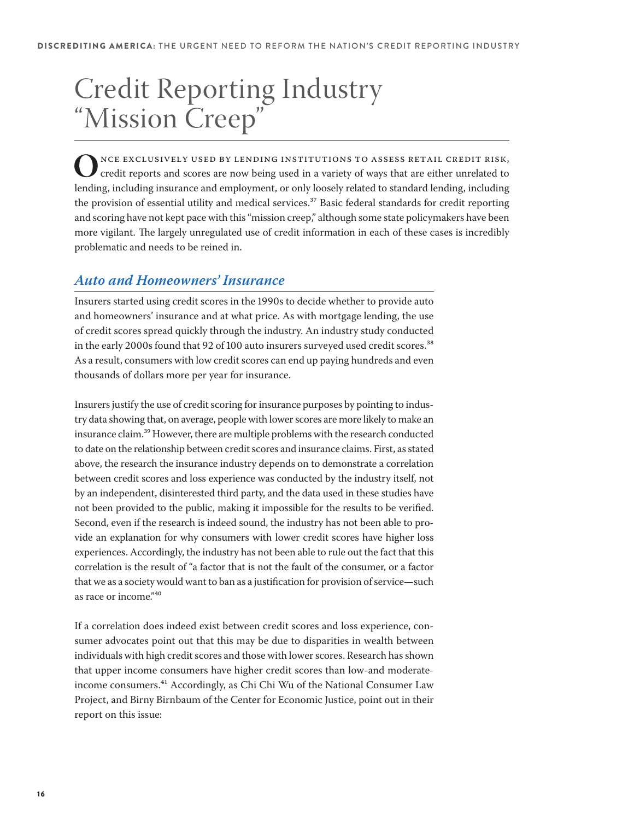# Credit Reporting Industry "Mission Creep"

ONCE EXCLUSIVELY USED BY LENDING INSTITUTIONS TO ASSESS RETAIL CREDIT RISK, credit reports and scores are now being used in a variety of ways that are either unrelated to lending including including including lending, including insurance and employment, or only loosely related to standard lending, including the provision of essential utility and medical services.<sup>37</sup> Basic federal standards for credit reporting and scoring have not kept pace with this "mission creep," although some state policymakers have been more vigilant. The largely unregulated use of credit information in each of these cases is incredibly problematic and needs to be reined in.

#### **Auto and Homeowners' Insurance**

Insurers started using credit scores in the 1990s to decide whether to provide auto and homeowners' insurance and at what price. As with mortgage lending, the use of credit scores spread quickly through the industry. An industry study conducted in the early 2000s found that 92 of 100 auto insurers surveyed used credit scores.<sup>38</sup> As a result, consumers with low credit scores can end up paying hundreds and even thousands of dollars more per year for insurance.

Insurers justify the use of credit scoring for insurance purposes by pointing to industry data showing that, on average, people with lower scores are more likely to make an insurance claim.<sup>39</sup> However, there are multiple problems with the research conducted to date on the relationship between credit scores and insurance claims. First, as stated above, the research the insurance industry depends on to demonstrate a correlation between credit scores and loss experience was conducted by the industry itself, not by an independent, disinterested third party, and the data used in these studies have not been provided to the public, making it impossible for the results to be verified. Second, even if the research is indeed sound, the industry has not been able to provide an explanation for why consumers with lower credit scores have higher loss experiences. Accordingly, the industry has not been able to rule out the fact that this correlation is the result of "a factor that is not the fault of the consumer, or a factor that we as a society would want to ban as a justification for provision of service—such as race or income."40

If a correlation does indeed exist between credit scores and loss experience, consumer advocates point out that this may be due to disparities in wealth between individuals with high credit scores and those with lower scores. Research has shown that upper income consumers have higher credit scores than low-and moderateincome consumers.<sup>41</sup> Accordingly, as Chi Chi Wu of the National Consumer Law Project, and Birny Birnbaum of the Center for Economic Justice, point out in their report on this issue: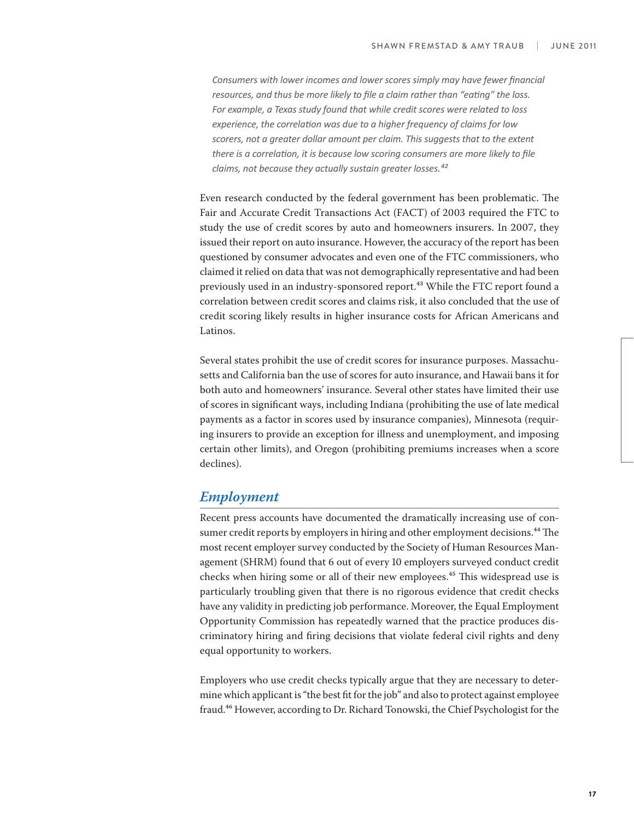Consumers with lower incomes and lower scores simply may have fewer financial resources, and thus be more likely to file a claim rather than "eating" the loss. For example, a Texas study found that while credit scores were related to loss *experience, the correlation was due to a higher frequency of claims for low scorers, not a greater dollar amount per claim. This suggests that to the extent* there is a correlation, it is because low scoring consumers are more likely to file *claims, not because they actually sustain greater losses.*<sup>42</sup>

Even research conducted by the federal government has been problematic. The Fair and Accurate Credit Transactions Act (FACT) of 2003 required the FTC to study the use of credit scores by auto and homeowners insurers. In 2007, they issued their report on auto insurance. However, the accuracy of the report has been questioned by consumer advocates and even one of the FTC commissioners, who claimed it relied on data that was not demographically representative and had been previously used in an industry-sponsored report.<sup>43</sup> While the FTC report found a correlation between credit scores and claims risk, it also concluded that the use of credit scoring likely results in higher insurance costs for African Americans and Latinos.

Several states prohibit the use of credit scores for insurance purposes. Massachusetts and California ban the use of scores for auto insurance, and Hawaii bans it for both auto and homeowners' insurance. Several other states have limited their use of scores in significant ways, including Indiana (prohibiting the use of late medical payments as a factor in scores used by insurance companies), Minnesota (requiring insurers to provide an exception for illness and unemployment, and imposing certain other limits), and Oregon (prohibiting premiums increases when a score declines).

#### **Employment**

Recent press accounts have documented the dramatically increasing use of consumer credit reports by employers in hiring and other employment decisions.<sup>44</sup> The most recent employer survey conducted by the Society of Human Resources Management (SHRM) found that 6 out of every 10 employers surveyed conduct credit checks when hiring some or all of their new employees.<sup>45</sup> This widespread use is particularly troubling given that there is no rigorous evidence that credit checks have any validity in predicting job performance. Moreover, the Equal Employment Opportunity Commission has repeatedly warned that the practice produces discriminatory hiring and firing decisions that violate federal civil rights and deny equal opportunity to workers.

Employers who use credit checks typically argue that they are necessary to determine which applicant is "the best fit for the job" and also to protect against employee fraud.46 However, according to Dr. Richard Tonowski, the Chief Psychologist for the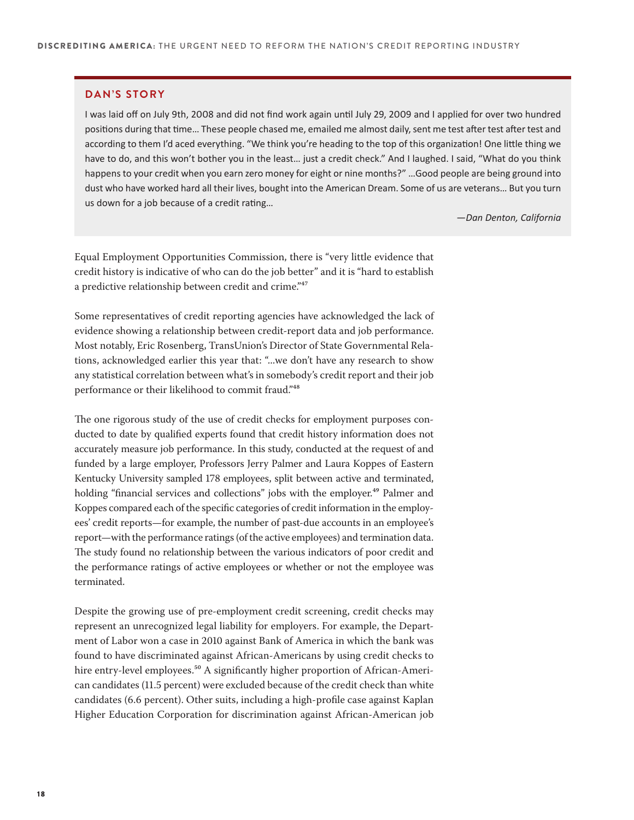#### **DAN'S STORY**

I was laid off on July 9th, 2008 and did not find work again until July 29, 2009 and I applied for over two hundred positions during that time... These people chased me, emailed me almost daily, sent me test after test after test and according to them I'd aced everything. "We think you're heading to the top of this organization! One little thing we have to do, and this won't bother you in the least... just a credit check." And I laughed. I said, "What do you think happens to your credit when you earn zero money for eight or nine months?" ...Good people are being ground into dust who have worked hard all their lives, bought into the American Dream. Some of us are veterans... But you turn us down for a job because of a credit rating...

*-Dan Denton, California* 

Equal Employment Opportunities Commission, there is "very little evidence that credit history is indicative of who can do the job better" and it is "hard to establish a predictive relationship between credit and crime."<sup>47</sup>

Some representatives of credit reporting agencies have acknowledged the lack of evidence showing a relationship between credit-report data and job performance. Most notably, Eric Rosenberg, TransUnion's Director of State Governmental Relations, acknowledged earlier this year that: "...we don't have any research to show any statistical correlation between what's in somebody's credit report and their job performance or their likelihood to commit fraud."<sup>48</sup>

The one rigorous study of the use of credit checks for employment purposes conducted to date by qualified experts found that credit history information does not accurately measure job performance. In this study, conducted at the request of and funded by a large employer, Professors Jerry Palmer and Laura Koppes of Eastern Kentucky University sampled 178 employees, split between active and terminated, holding "financial services and collections" jobs with the employer.<sup>49</sup> Palmer and Koppes compared each of the specific categories of credit information in the employees' credit reports—for example, the number of past-due accounts in an employee's report—with the performance ratings (of the active employees) and termination data. The study found no relationship between the various indicators of poor credit and the performance ratings of active employees or whether or not the employee was terminated.

Despite the growing use of pre-employment credit screening, credit checks may represent an unrecognized legal liability for employers. For example, the Department of Labor won a case in 2010 against Bank of America in which the bank was found to have discriminated against African-Americans by using credit checks to hire entry-level employees.<sup>50</sup> A significantly higher proportion of African-American candidates (11.5 percent) were excluded because of the credit check than white candidates (6.6 percent). Other suits, including a high-profile case against Kaplan Higher Education Corporation for discrimination against African-American job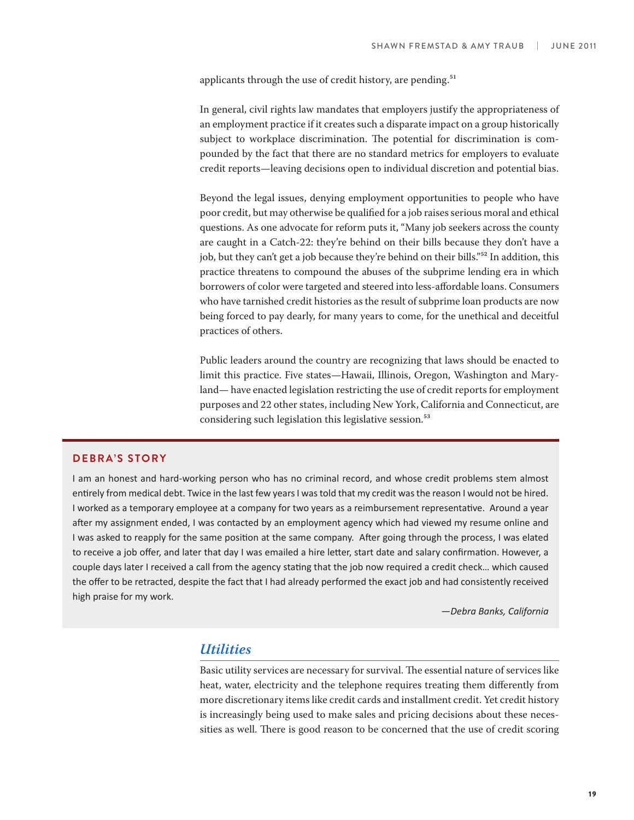applicants through the use of credit history, are pending.<sup>51</sup>

In general, civil rights law mandates that employers justify the appropriateness of an employment practice if it creates such a disparate impact on a group historically subject to workplace discrimination. The potential for discrimination is compounded by the fact that there are no standard metrics for employers to evaluate credit reports—leaving decisions open to individual discretion and potential bias.

Beyond the legal issues, denying employment opportunities to people who have poor credit, but may otherwise be qualified for a job raises serious moral and ethical questions. As one advocate for reform puts it, "Many job seekers across the county are caught in a Catch-22: they're behind on their bills because they don't have a job, but they can't get a job because they're behind on their bills."<sup>52</sup> In addition, this practice threatens to compound the abuses of the subprime lending era in which borrowers of color were targeted and steered into less-affordable loans. Consumers who have tarnished credit histories as the result of subprime loan products are now being forced to pay dearly, for many years to come, for the unethical and deceitful practices of others.

Public leaders around the country are recognizing that laws should be enacted to limit this practice. Five states—Hawaii, Illinois, Oregon, Washington and Maryland— have enacted legislation restricting the use of credit reports for employment purposes and 22 other states, including New York, California and Connecticut, are considering such legislation this legislative session.<sup>53</sup>

#### **DEBRA'S STORY**

I am an honest and hard-working person who has no criminal record, and whose credit problems stem almost entirely from medical debt. Twice in the last few years I was told that my credit was the reason I would not be hired. I worked as a temporary employee at a company for two years as a reimbursement representative. Around a year after my assignment ended, I was contacted by an employment agency which had viewed my resume online and I was asked to reapply for the same position at the same company. After going through the process, I was elated to receive a job offer, and later that day I was emailed a hire letter, start date and salary confirmation. However, a couple days later I received a call from the agency stating that the job now required a credit check... which caused the offer to be retracted, despite the fact that I had already performed the exact job and had consistently received high praise for my work.

*-Debra Banks, California* 

#### **Utilities**

Basic utility services are necessary for survival. The essential nature of services like heat, water, electricity and the telephone requires treating them differently from more discretionary items like credit cards and installment credit. Yet credit history is increasingly being used to make sales and pricing decisions about these necessities as well. There is good reason to be concerned that the use of credit scoring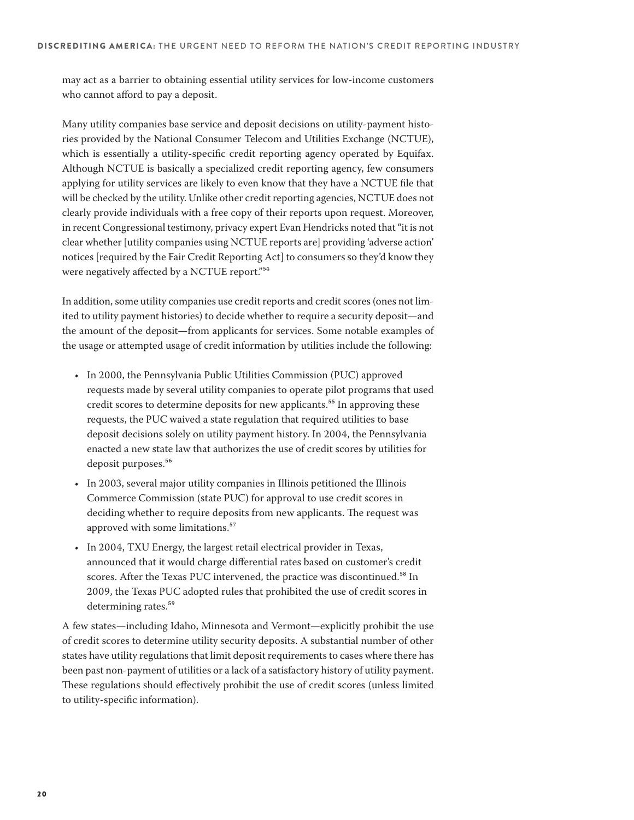may act as a barrier to obtaining essential utility services for low-income customers who cannot afford to pay a deposit.

Many utility companies base service and deposit decisions on utility-payment histories provided by the National Consumer Telecom and Utilities Exchange (NCTUE), which is essentially a utility-specific credit reporting agency operated by Equifax. Although NCTUE is basically a specialized credit reporting agency, few consumers applying for utility services are likely to even know that they have a NCTUE file that will be checked by the utility. Unlike other credit reporting agencies, NCTUE does not clearly provide individuals with a free copy of their reports upon request. Moreover, in recent Congressional testimony, privacy expert Evan Hendricks noted that "it is not clear whether [utility companies using NCTUE reports are] providing 'adverse action' notices [required by the Fair Credit Reporting Act] to consumers so they'd know they were negatively affected by a NCTUE report."<sup>54</sup>

In addition, some utility companies use credit reports and credit scores (ones not limited to utility payment histories) to decide whether to require a security deposit—and the amount of the deposit—from applicants for services. Some notable examples of the usage or attempted usage of credit information by utilities include the following:

- In 2000, the Pennsylvania Public Utilities Commission (PUC) approved requests made by several utility companies to operate pilot programs that used credit scores to determine deposits for new applicants.<sup>55</sup> In approving these requests, the PUC waived a state regulation that required utilities to base deposit decisions solely on utility payment history. In 2004, the Pennsylvania enacted a new state law that authorizes the use of credit scores by utilities for deposit purposes.<sup>56</sup>
- In 2003, several major utility companies in Illinois petitioned the Illinois Commerce Commission (state PUC) for approval to use credit scores in deciding whether to require deposits from new applicants. The request was approved with some limitations.<sup>57</sup>
- In 2004, TXU Energy, the largest retail electrical provider in Texas, announced that it would charge differential rates based on customer's credit scores. After the Texas PUC intervened, the practice was discontinued.<sup>58</sup> In 2009, the Texas PUC adopted rules that prohibited the use of credit scores in determining rates.<sup>59</sup>

A few states—including Idaho, Minnesota and Vermont—explicitly prohibit the use of credit scores to determine utility security deposits. A substantial number of other states have utility regulations that limit deposit requirements to cases where there has been past non-payment of utilities or a lack of a satisfactory history of utility payment. These regulations should effectively prohibit the use of credit scores (unless limited to utility-specific information).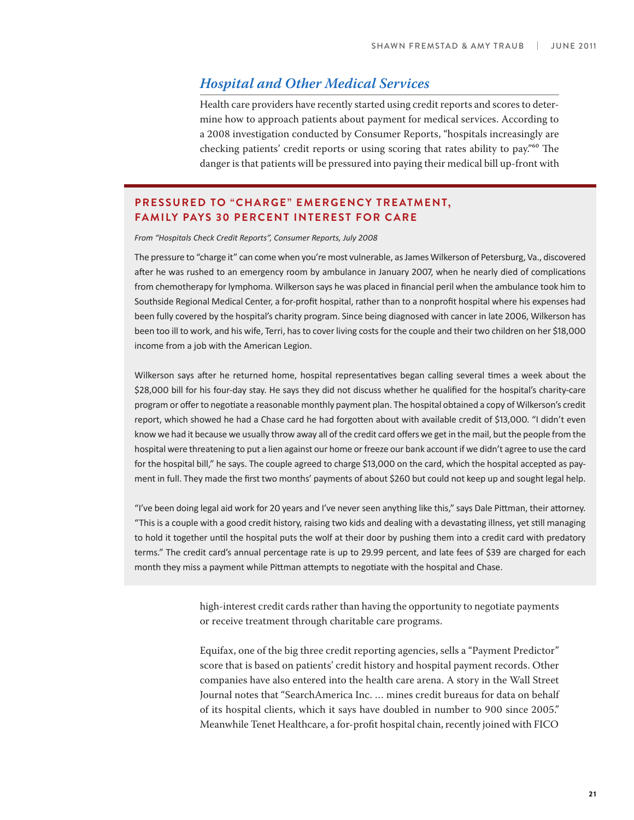#### **Hospital and Other Medical Services**

Health care providers have recently started using credit reports and scores to determine how to approach patients about payment for medical services. According to a 2008 investigation conducted by Consumer Reports, "hospitals increasingly are checking patients' credit reports or using scoring that rates ability to pay.<sup> $"60$ </sup> The danger is that patients will be pressured into paying their medical bill up-front with

#### **PRESSURED TO "CHARGE" EMERGENCY TREATMENT, FAMILY PAYS 30 PERCENT INTEREST FOR CARE**

*&ƌŽŵ͞,ŽƐƉŝƚĂůƐŚĞĐŬƌĞĚŝƚZĞƉŽƌƚƐ͕͟ŽŶƐƵŵĞƌZĞƉŽƌƚƐ͕:ƵůLJϤϢϢϪ*

The pressure to "charge it" can come when you're most vulnerable, as James Wilkerson of Petersburg, Va., discovered after he was rushed to an emergency room by ambulance in January 2007, when he nearly died of complications from chemotherapy for lymphoma. Wilkerson says he was placed in financial peril when the ambulance took him to Southside Regional Medical Center, a for-profit hospital, rather than to a nonprofit hospital where his expenses had been fully covered by the hospital's charity program. Since being diagnosed with cancer in late 2006, Wilkerson has been too ill to work, and his wife, Terri, has to cover living costs for the couple and their two children on her \$18,000 income from a job with the American Legion.

Wilkerson says after he returned home, hospital representatives began calling several times a week about the \$28,000 bill for his four-day stay. He says they did not discuss whether he qualified for the hospital's charity-care program or offer to negotiate a reasonable monthly payment plan. The hospital obtained a copy of Wilkerson's credit report, which showed he had a Chase card he had forgotten about with available credit of \$13,000. "I didn't even know we had it because we usually throw away all of the credit card offers we get in the mail, but the people from the hospital were threatening to put a lien against our home or freeze our bank account if we didn't agree to use the card for the hospital bill," he says. The couple agreed to charge \$13,000 on the card, which the hospital accepted as payment in full. They made the first two months' payments of about \$260 but could not keep up and sought legal help.

"I've been doing legal aid work for 20 years and I've never seen anything like this," says Dale Pittman, their attorney. "This is a couple with a good credit history, raising two kids and dealing with a devastating illness, yet still managing to hold it together until the hospital puts the wolf at their door by pushing them into a credit card with predatory terms." The credit card's annual percentage rate is up to 29.99 percent, and late fees of \$39 are charged for each month they miss a payment while Pittman attempts to negotiate with the hospital and Chase.

> high-interest credit cards rather than having the opportunity to negotiate payments or receive treatment through charitable care programs.

> Equifax, one of the big three credit reporting agencies, sells a "Payment Predictor" score that is based on patients' credit history and hospital payment records. Other companies have also entered into the health care arena. A story in the Wall Street Journal notes that "SearchAmerica Inc. … mines credit bureaus for data on behalf of its hospital clients, which it says have doubled in number to 900 since 2005." Meanwhile Tenet Healthcare, a for-profit hospital chain, recently joined with FICO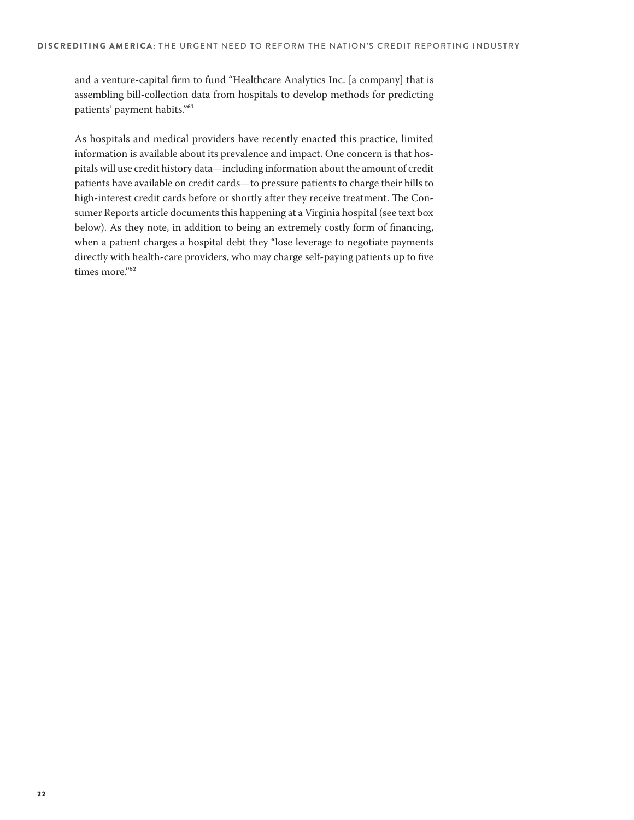and a venture-capital firm to fund "Healthcare Analytics Inc. [a company] that is assembling bill-collection data from hospitals to develop methods for predicting patients' payment habits."<sup>61</sup>

As hospitals and medical providers have recently enacted this practice, limited information is available about its prevalence and impact. One concern is that hospitals will use credit history data—including information about the amount of credit patients have available on credit cards—to pressure patients to charge their bills to high-interest credit cards before or shortly after they receive treatment. The Consumer Reports article documents this happening at a Virginia hospital (see text box below). As they note, in addition to being an extremely costly form of financing, when a patient charges a hospital debt they "lose leverage to negotiate payments directly with health-care providers, who may charge self-paying patients up to five times more."<sup>62</sup>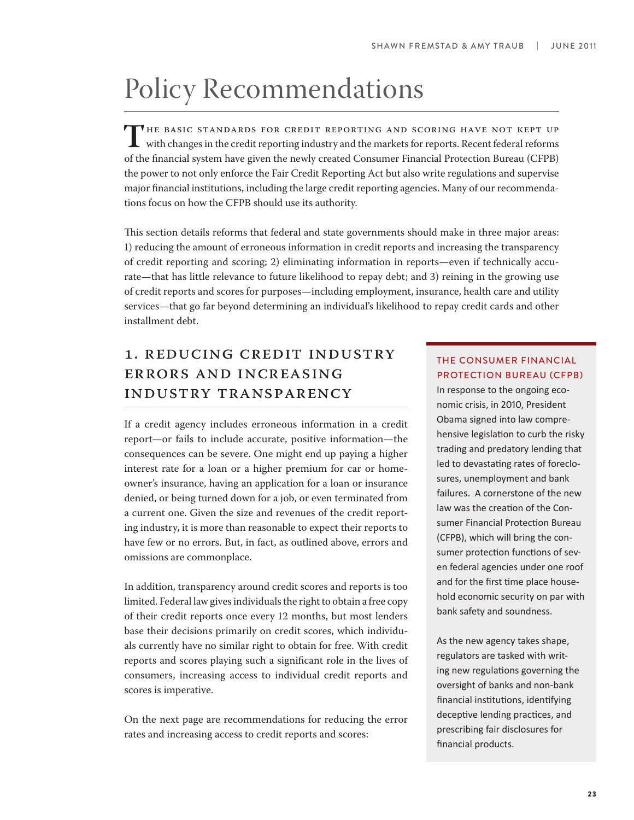# Policy Recommendations

THE BASIC STANDARDS FOR CREDIT REPORTING AND SCORING HAVE NOT KEPT UP<br>with changes in the credit reporting industry and the markets for reports. Recent federal reforms<br>of the financial system have given the nowly created C of the 8nancial system have given the newly created Consumer Financial Protection Bureau (CFPB) the power to not only enforce the Fair Credit Reporting Act but also write regulations and supervise major financial institutions, including the large credit reporting agencies. Many of our recommendations focus on how the CFPB should use its authority.

This section details reforms that federal and state governments should make in three major areas: 1) reducing the amount of erroneous information in credit reports and increasing the transparency of credit reporting and scoring; 2) eliminating information in reports—even if technically accurate—that has little relevance to future likelihood to repay debt; and 3) reining in the growing use of credit reports and scores for purposes—including employment, insurance, health care and utility services—that go far beyond determining an individual's likelihood to repay credit cards and other installment debt.

### 1. Reducing Credit Industry Errors and Increasing Industry Transparency

If a credit agency includes erroneous information in a credit report—or fails to include accurate, positive information—the consequences can be severe. One might end up paying a higher interest rate for a loan or a higher premium for car or homeowner's insurance, having an application for a loan or insurance denied, or being turned down for a job, or even terminated from a current one. Given the size and revenues of the credit reporting industry, it is more than reasonable to expect their reports to have few or no errors. But, in fact, as outlined above, errors and omissions are commonplace.

In addition, transparency around credit scores and reports is too limited. Federal law gives individuals the right to obtain a free copy of their credit reports once every 12 months, but most lenders base their decisions primarily on credit scores, which individuals currently have no similar right to obtain for free. With credit reports and scores playing such a significant role in the lives of consumers, increasing access to individual credit reports and scores is imperative.

On the next page are recommendations for reducing the error rates and increasing access to credit reports and scores:

#### THE CONSUMER FINANCIAL PROTECTION BUREAU (CFPB)

In response to the ongoing economic crisis, in 2010, President Obama signed into law comprehensive legislation to curb the risky trading and predatory lending that led to devastating rates of foreclosures, unemployment and bank failures. A cornerstone of the new law was the creation of the Consumer Financial Protection Bureau (CFPB), which will bring the consumer protection functions of seven federal agencies under one roof and for the first time place household economic security on par with bank safety and soundness.

As the new agency takes shape, regulators are tasked with writing new regulations governing the oversight of banks and non-bank financial institutions, identifying deceptive lending practices, and prescribing fair disclosures for financial products.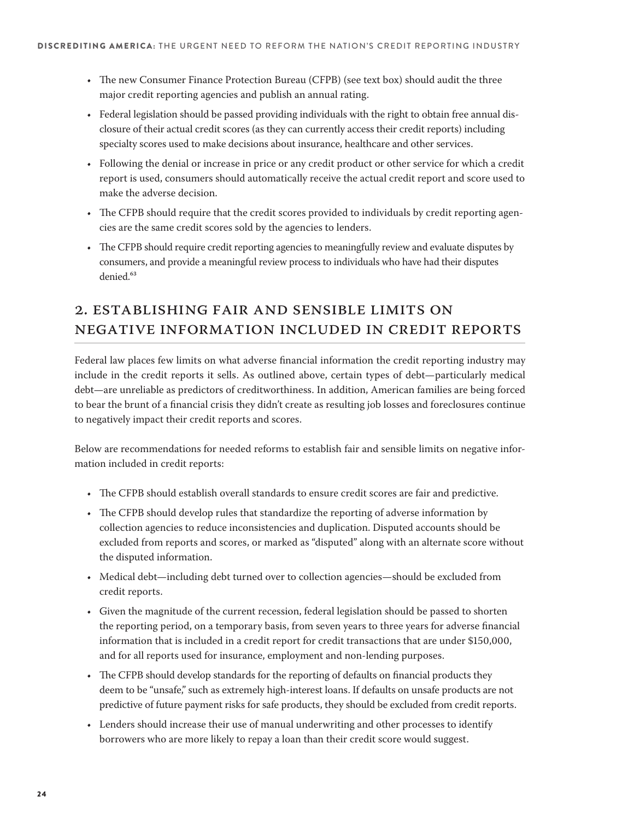- The new Consumer Finance Protection Bureau (CFPB) (see text box) should audit the three major credit reporting agencies and publish an annual rating.
- t Federal legislation should be passed providing individuals with the right to obtain free annual disclosure of their actual credit scores (as they can currently access their credit reports) including specialty scores used to make decisions about insurance, healthcare and other services.
- t Following the denial or increase in price or any credit product or other service for which a credit report is used, consumers should automatically receive the actual credit report and score used to make the adverse decision.
- The CFPB should require that the credit scores provided to individuals by credit reporting agencies are the same credit scores sold by the agencies to lenders.
- The CFPB should require credit reporting agencies to meaningfully review and evaluate disputes by consumers, and provide a meaningful review process to individuals who have had their disputes denied.<sup>63</sup>

### 2. Establishing Fair and Sensible Limits on Negative Information Included in Credit Reports

Federal law places few limits on what adverse financial information the credit reporting industry may include in the credit reports it sells. As outlined above, certain types of debt—particularly medical debt—are unreliable as predictors of creditworthiness. In addition, American families are being forced to bear the brunt of a financial crisis they didn't create as resulting job losses and foreclosures continue to negatively impact their credit reports and scores.

Below are recommendations for needed reforms to establish fair and sensible limits on negative information included in credit reports:

- The CFPB should establish overall standards to ensure credit scores are fair and predictive.
- The CFPB should develop rules that standardize the reporting of adverse information by collection agencies to reduce inconsistencies and duplication. Disputed accounts should be excluded from reports and scores, or marked as "disputed" along with an alternate score without the disputed information.
- Medical debt—including debt turned over to collection agencies—should be excluded from credit reports.
- t Given the magnitude of the current recession, federal legislation should be passed to shorten the reporting period, on a temporary basis, from seven years to three years for adverse financial information that is included in a credit report for credit transactions that are under \$150,000, and for all reports used for insurance, employment and non-lending purposes.
- The CFPB should develop standards for the reporting of defaults on financial products they deem to be "unsafe," such as extremely high-interest loans. If defaults on unsafe products are not predictive of future payment risks for safe products, they should be excluded from credit reports.
- Lenders should increase their use of manual underwriting and other processes to identify borrowers who are more likely to repay a loan than their credit score would suggest.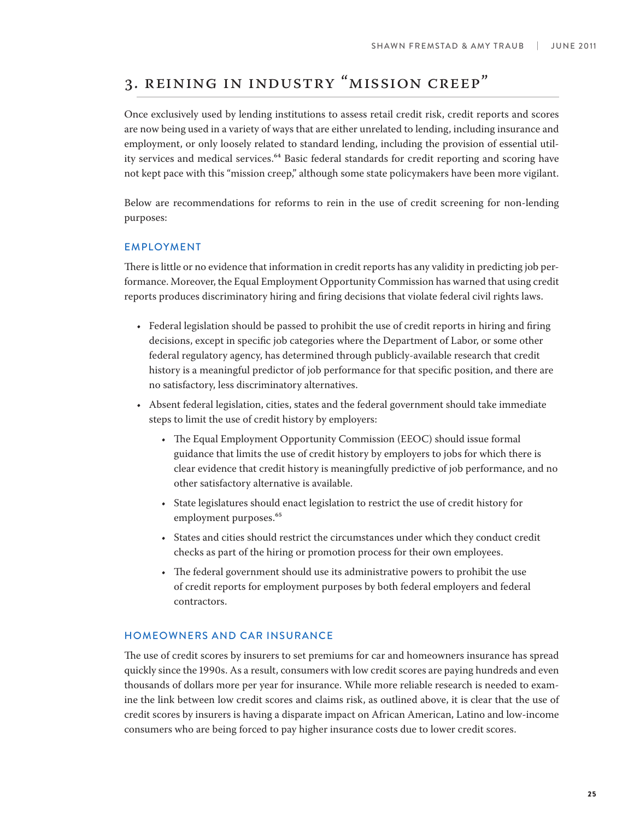# 3. Reining in Industry "Mission Creep"

Once exclusively used by lending institutions to assess retail credit risk, credit reports and scores are now being used in a variety of ways that are either unrelated to lending, including insurance and employment, or only loosely related to standard lending, including the provision of essential utility services and medical services.<sup>64</sup> Basic federal standards for credit reporting and scoring have not kept pace with this "mission creep," although some state policymakers have been more vigilant.

Below are recommendations for reforms to rein in the use of credit screening for non-lending purposes:

#### EMPLOYMENT

There is little or no evidence that information in credit reports has any validity in predicting job performance. Moreover, the Equal Employment Opportunity Commission has warned that using credit reports produces discriminatory hiring and firing decisions that violate federal civil rights laws.

- $\cdot$  Federal legislation should be passed to prohibit the use of credit reports in hiring and firing decisions, except in specific job categories where the Department of Labor, or some other federal regulatory agency, has determined through publicly-available research that credit history is a meaningful predictor of job performance for that specific position, and there are no satisfactory, less discriminatory alternatives.
- Absent federal legislation, cities, states and the federal government should take immediate steps to limit the use of credit history by employers:
	- The Equal Employment Opportunity Commission (EEOC) should issue formal guidance that limits the use of credit history by employers to jobs for which there is clear evidence that credit history is meaningfully predictive of job performance, and no other satisfactory alternative is available.
	- t State legislatures should enact legislation to restrict the use of credit history for employment purposes.<sup>65</sup>
	- t States and cities should restrict the circumstances under which they conduct credit checks as part of the hiring or promotion process for their own employees.
	- The federal government should use its administrative powers to prohibit the use of credit reports for employment purposes by both federal employers and federal contractors.

#### HOMEOWNERS AND CAR INSURANCE

The use of credit scores by insurers to set premiums for car and homeowners insurance has spread quickly since the 1990s. As a result, consumers with low credit scores are paying hundreds and even thousands of dollars more per year for insurance. While more reliable research is needed to examine the link between low credit scores and claims risk, as outlined above, it is clear that the use of credit scores by insurers is having a disparate impact on African American, Latino and low-income consumers who are being forced to pay higher insurance costs due to lower credit scores.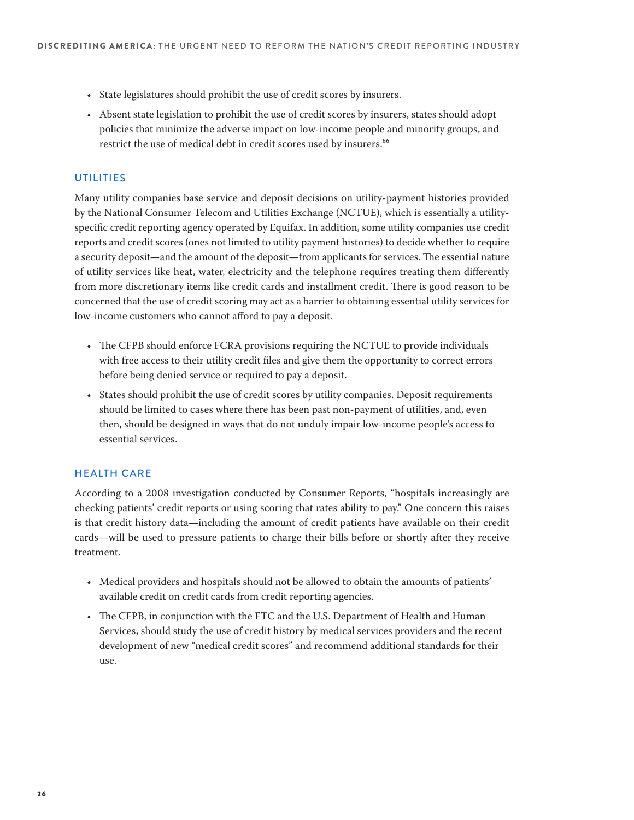- State legislatures should prohibit the use of credit scores by insurers.
- \* Absent state legislation to prohibit the use of credit scores by insurers, states should adopt policies that minimize the adverse impact on low-income people and minority groups, and restrict the use of medical debt in credit scores used by insurers.<sup>66</sup>

#### UTILITIES

Many utility companies base service and deposit decisions on utility-payment histories provided by the National Consumer Telecom and Utilities Exchange (NCTUE), which is essentially a utilityspecific credit reporting agency operated by Equifax. In addition, some utility companies use credit reports and credit scores (ones not limited to utility payment histories) to decide whether to require a security deposit—and the amount of the deposit—from applicants for services. The essential nature of utility services like heat, water, electricity and the telephone requires treating them differently from more discretionary items like credit cards and installment credit. There is good reason to be concerned that the use of credit scoring may act as a barrier to obtaining essential utility services for low-income customers who cannot afford to pay a deposit.

- The CFPB should enforce FCRA provisions requiring the NCTUE to provide individuals with free access to their utility credit files and give them the opportunity to correct errors before being denied service or required to pay a deposit.
- t States should prohibit the use of credit scores by utility companies. Deposit requirements should be limited to cases where there has been past non-payment of utilities, and, even then, should be designed in ways that do not unduly impair low-income people's access to essential services.

#### HEALTH CARE

According to a 2008 investigation conducted by Consumer Reports, "hospitals increasingly are checking patients' credit reports or using scoring that rates ability to pay." One concern this raises is that credit history data—including the amount of credit patients have available on their credit cards—will be used to pressure patients to charge their bills before or shortly after they receive treatment.

- Medical providers and hospitals should not be allowed to obtain the amounts of patients' available credit on credit cards from credit reporting agencies.
- The CFPB, in conjunction with the FTC and the U.S. Department of Health and Human Services, should study the use of credit history by medical services providers and the recent development of new "medical credit scores" and recommend additional standards for their use.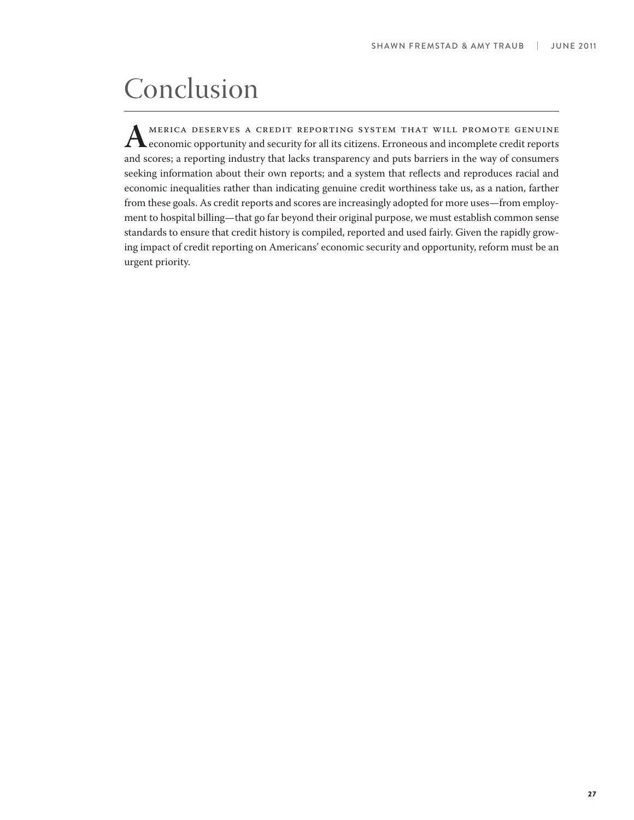# Conclusion

MERICA DESERVES A CREDIT REPORTING SYSTEM THAT WILL PROMOTE GENUINE<br>economic opportunity and security for all its citizens. Erroneous and incomplete credit reports<br>and scores: a reporting industry that lacks transparency a and scores; a reporting industry that lacks transparency and puts barriers in the way of consumers seeking information about their own reports; and a system that reflects and reproduces racial and economic inequalities rather than indicating genuine credit worthiness take us, as a nation, farther from these goals. As credit reports and scores are increasingly adopted for more uses—from employment to hospital billing—that go far beyond their original purpose, we must establish common sense standards to ensure that credit history is compiled, reported and used fairly. Given the rapidly growing impact of credit reporting on Americans' economic security and opportunity, reform must be an urgent priority.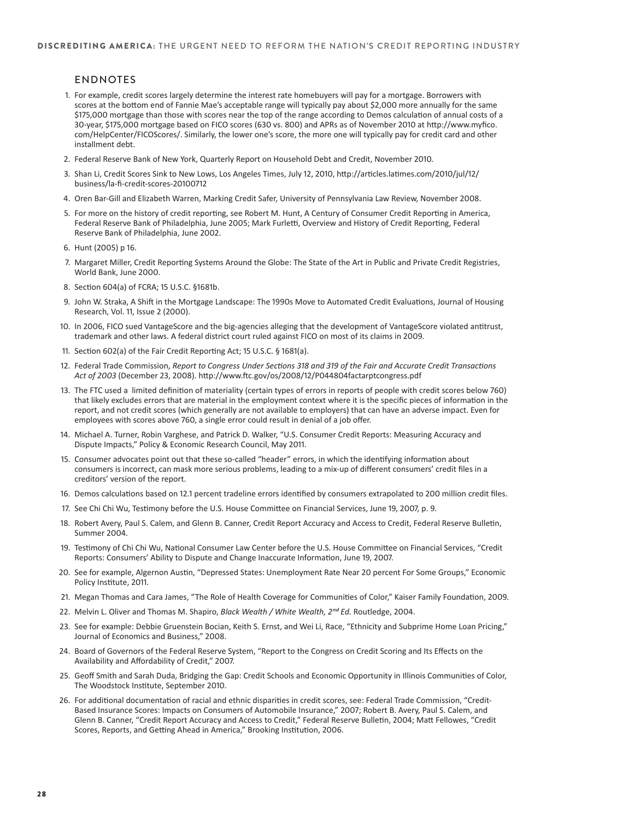#### ENDNOTES

- 1. For example, credit scores largely determine the interest rate homebuyers will pay for a mortgage. Borrowers with scores at the bottom end of Fannie Mae's acceptable range will typically pay about \$2,000 more annually for the same \$175,000 mortgage than those with scores near the top of the range according to Demos calculation of annual costs of a 30-year, \$175,000 mortgage based on FICO scores (630 vs. 800) and APRs as of November 2010 at http://www.myfico. com/HelpCenter/FICOScores/. Similarly, the lower one's score, the more one will typically pay for credit card and other installment debt.
- 2. Federal Reserve Bank of New York, Quarterly Report on Household Debt and Credit, November 2010.
- 3. Shan Li, Credit Scores Sink to New Lows, Los Angeles Times, July 12, 2010, http://articles.latimes.com/2010/jul/12/ business/la-fi-credit-scores-20100712
- 4. Oren Bar-Gill and Elizabeth Warren, Marking Credit Safer, University of Pennsylvania Law Review, November 2008.
- 5. For more on the history of credit reporting, see Robert M. Hunt, A Century of Consumer Credit Reporting in America, Federal Reserve Bank of Philadelphia, June 2005; Mark Furletti, Overview and History of Credit Reporting, Federal Reserve Bank of Philadelphia, June 2002.
- 6. Hunt (2005) p 16.
- 7. Margaret Miller, Credit Reporting Systems Around the Globe: The State of the Art in Public and Private Credit Registries, World Bank, June 2000.
- 8. Section 604(a) of FCRA; 15 U.S.C. §1681b.
- 9. John W. Straka, A Shift in the Mortgage Landscape: The 1990s Move to Automated Credit Evaluations, Journal of Housing Research, Vol. 11, Issue 2 (2000).
- 10. In 2006, FICO sued VantageScore and the big-agencies alleging that the development of VantageScore violated antitrust, trademark and other laws. A federal district court ruled against FICO on most of its claims in 2009.
- 11. Section 602(a) of the Fair Credit Reporting Act; 15 U.S.C. § 1681(a).
- 12. Federal Trade Commission, Report to Congress Under Sections 318 and 319 of the Fair and Accurate Credit Transactions *Act of 2003* (December 23, 2008). http://www.ftc.gov/os/2008/12/P044804factarptcongress.pdf
- 13. The FTC used a limited definition of materiality (certain types of errors in reports of people with credit scores below 760) that likely excludes errors that are material in the employment context where it is the specific pieces of information in the report, and not credit scores (which generally are not available to employers) that can have an adverse impact. Even for employees with scores above 760, a single error could result in denial of a job offer.
- 14. Michael A. Turner, Robin Varghese, and Patrick D. Walker, "U.S. Consumer Credit Reports: Measuring Accuracy and Dispute Impacts," Policy & Economic Research Council, May 2011.
- 15. Consumer advocates point out that these so-called "header" errors, in which the identifying information about consumers is incorrect, can mask more serious problems, leading to a mix-up of different consumers' credit files in a creditors' version of the report.
- 16. Demos calculations based on 12.1 percent tradeline errors identified by consumers extrapolated to 200 million credit files.
- 17. See Chi Chi Wu, Testimony before the U.S. House Committee on Financial Services, June 19, 2007, p. 9.
- 18. Robert Avery, Paul S. Calem, and Glenn B. Canner, Credit Report Accuracy and Access to Credit, Federal Reserve Bulletin, Summer 2004
- 19. Testimony of Chi Chi Wu, National Consumer Law Center before the U.S. House Committee on Financial Services, "Credit Reports: Consumers' Ability to Dispute and Change Inaccurate Information, June 19, 2007.
- 20. See for example, Algernon Austin, "Depressed States: Unemployment Rate Near 20 percent For Some Groups," Economic Policy Institute, 2011.
- 21. Megan Thomas and Cara James, "The Role of Health Coverage for Communities of Color," Kaiser Family Foundation, 2009.
- 22. Melvin L. Oliver and Thomas M. Shapiro, Black Wealth / White Wealth, 2<sup>nd</sup> Ed. Routledge, 2004.
- 23. See for example: Debbie Gruenstein Bocian, Keith S. Ernst, and Wei Li, Race, "Ethnicity and Subprime Home Loan Pricing," Journal of Economics and Business," 2008.
- 24. Board of Governors of the Federal Reserve System, "Report to the Congress on Credit Scoring and Its Effects on the Availability and Affordability of Credit," 2007.
- 25. Geoff Smith and Sarah Duda, Bridging the Gap: Credit Schools and Economic Opportunity in Illinois Communities of Color, The Woodstock Institute, September 2010.
- 26. For additional documentation of racial and ethnic disparities in credit scores, see: Federal Trade Commission, "Credit-Based Insurance Scores: Impacts on Consumers of Automobile Insurance," 2007; Robert B. Avery, Paul S. Calem, and Glenn B. Canner, "Credit Report Accuracy and Access to Credit," Federal Reserve Bulletin, 2004; Matt Fellowes, "Credit Scores, Reports, and Getting Ahead in America," Brooking Institution, 2006.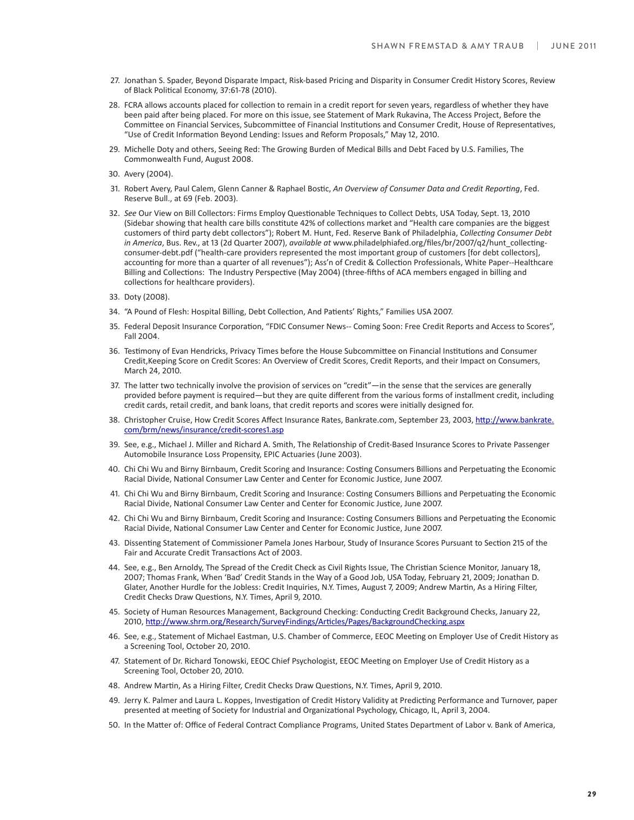- 27. Jonathan S. Spader, Beyond Disparate Impact, Risk-based Pricing and Disparity in Consumer Credit History Scores, Review of Black Political Economy, 37:61-78 (2010).
- 28. FCRA allows accounts placed for collection to remain in a credit report for seven years, regardless of whether they have been paid after being placed. For more on this issue, see Statement of Mark Rukavina, The Access Project, Before the Committee on Financial Services, Subcommittee of Financial Institutions and Consumer Credit, House of Representatives, "Use of Credit Information Beyond Lending: Issues and Reform Proposals," May 12, 2010.
- 29. Michelle Doty and others, Seeing Red: The Growing Burden of Medical Bills and Debt Faced by U.S. Families, The Commonwealth Fund, August 2008.
- 30. Avery (2004).
- 31. Robert Avery, Paul Calem, Glenn Canner & Raphael Bostic, An Overview of Consumer Data and Credit Reporting, Fed. Reserve Bull., at 69 (Feb. 2003).
- 32. See Our View on Bill Collectors: Firms Employ Questionable Techniques to Collect Debts, USA Today, Sept. 13, 2010 (Sidebar showing that health care bills constitute 42% of collections market and "Health care companies are the biggest customers of third party debt collectors"); Robert M. Hunt, Fed. Reserve Bank of Philadelphia, Collecting Consumer Debt in America, Bus. Rev., at 13 (2d Quarter 2007), available at www.philadelphiafed.org/files/br/2007/q2/hunt\_collectingconsumer-debt.pdf ("health-care providers represented the most important group of customers [for debt collectors], accounting for more than a quarter of all revenues"); Ass'n of Credit & Collection Professionals, White Paper--Healthcare Billing and Collections: The Industry Perspective (May 2004) (three-fifths of ACA members engaged in billing and collections for healthcare providers).
- 33. Doty (2008).
- 34. "A Pound of Flesh: Hospital Billing, Debt Collection, And Patients' Rights," Families USA 2007.
- 35. Federal Deposit Insurance Corporation, "FDIC Consumer News-- Coming Soon: Free Credit Reports and Access to Scores", Fall 2004.
- 36. Testimony of Evan Hendricks, Privacy Times before the House Subcommittee on Financial Institutions and Consumer Credit, Keeping Score on Credit Scores: An Overview of Credit Scores, Credit Reports, and their Impact on Consumers, March 24, 2010.
- 37. The latter two technically involve the provision of services on "credit"—in the sense that the services are generally provided before payment is required—but they are quite different from the various forms of installment credit, including credit cards, retail credit, and bank loans, that credit reports and scores were initially designed for.
- 38. Christopher Cruise, How Credit Scores Affect Insurance Rates, Bankrate.com, September 23, 2003, http://www.bankrate. com/brm/news/insurance/credit-scores1.asp
- 39. See, e.g., Michael J. Miller and Richard A. Smith, The Relationship of Credit-Based Insurance Scores to Private Passenger Automobile Insurance Loss Propensity, EPIC Actuaries (June 2003).
- 40. Chi Chi Wu and Birny Birnbaum, Credit Scoring and Insurance: Costing Consumers Billions and Perpetuating the Economic Racial Divide, National Consumer Law Center and Center for Economic Justice, June 2007.
- 41. Chi Chi Wu and Birny Birnbaum, Credit Scoring and Insurance: Costing Consumers Billions and Perpetuating the Economic Racial Divide, National Consumer Law Center and Center for Economic Justice, June 2007.
- 42. Chi Chi Wu and Birny Birnbaum, Credit Scoring and Insurance: Costing Consumers Billions and Perpetuating the Economic Racial Divide, National Consumer Law Center and Center for Economic Justice, June 2007.
- 43. Dissenting Statement of Commissioner Pamela Jones Harbour, Study of Insurance Scores Pursuant to Section 215 of the Fair and Accurate Credit Transactions Act of 2003.
- 44. See, e.g., Ben Arnoldy, The Spread of the Credit Check as Civil Rights Issue, The Christian Science Monitor, January 18, 2007; Thomas Frank, When 'Bad' Credit Stands in the Way of a Good Job, USA Today, February 21, 2009; Jonathan D. Glater, Another Hurdle for the Jobless: Credit Inquiries, N.Y. Times, August 7, 2009; Andrew Martin, As a Hiring Filter, Credit Checks Draw Questions, N.Y. Times, April 9, 2010.
- 45. Society of Human Resources Management, Background Checking: Conducting Credit Background Checks, January 22, 2010, http://www.shrm.org/Research/SurveyFindings/Articles/Pages/BackgroundChecking.aspx
- 46. See, e.g., Statement of Michael Eastman, U.S. Chamber of Commerce, EEOC Meeting on Employer Use of Credit History as a Screening Tool, October 20, 2010.
- 47. Statement of Dr. Richard Tonowski, EEOC Chief Psychologist, EEOC Meeting on Employer Use of Credit History as a Screening Tool, October 20, 2010.
- 48. Andrew Martin, As a Hiring Filter, Credit Checks Draw Questions, N.Y. Times, April 9, 2010.
- 49. Jerry K. Palmer and Laura L. Koppes, Investigation of Credit History Validity at Predicting Performance and Turnover, paper presented at meeting of Society for Industrial and Organizational Psychology, Chicago, IL, April 3, 2004.
- 50. In the Matter of: Office of Federal Contract Compliance Programs, United States Department of Labor v. Bank of America,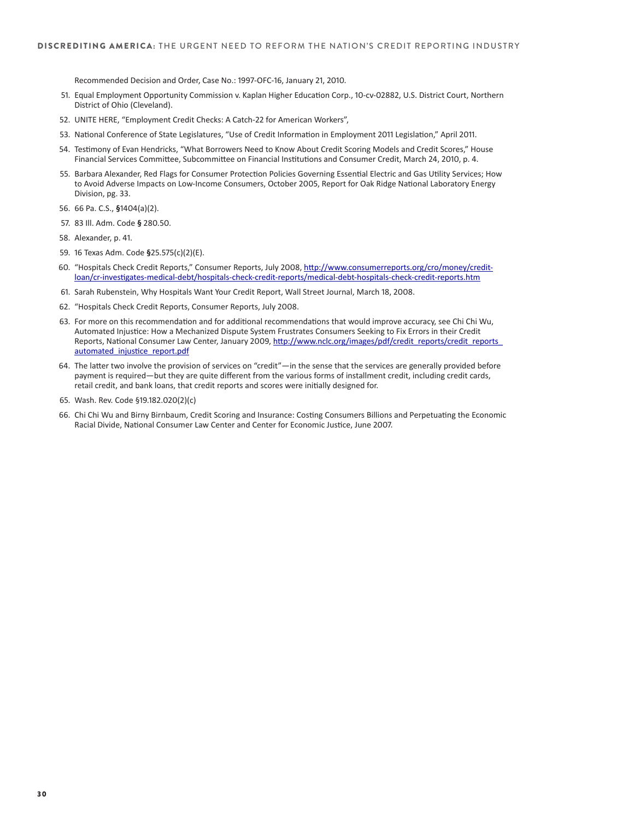Recommended Decision and Order, Case No.: 1997-OFC-16, January 21, 2010.

- 51. Equal Employment Opportunity Commission v. Kaplan Higher Education Corp., 10-cv-02882, U.S. District Court, Northern District of Ohio (Cleveland).
- 52. UNITE HERE, "Employment Credit Checks: A Catch-22 for American Workers",
- 53. National Conference of State Legislatures, "Use of Credit Information in Employment 2011 Legislation," April 2011.
- 54. Testimony of Evan Hendricks, "What Borrowers Need to Know About Credit Scoring Models and Credit Scores," House Financial Services Committee, Subcommittee on Financial Institutions and Consumer Credit, March 24, 2010, p. 4.
- 55. Barbara Alexander, Red Flags for Consumer Protection Policies Governing Essential Electric and Gas Utility Services; How to Avoid Adverse Impacts on Low-Income Consumers, October 2005, Report for Oak Ridge National Laboratory Energy Division, pg. 33.
- 56. 66 Pa. C.S., §1404(a)(2).
- 57. 83 III. Adm. Code § 280.50.
- 58. Alexander, p. 41.
- 59. 16 Texas Adm. Code §25.575(c)(2)(E).
- 60. "Hospitals Check Credit Reports," Consumer Reports, July 2008, http://www.consumerreports.org/cro/money/creditloan/cr-investigates-medical-debt/hospitals-check-credit-reports/medical-debt-hospitals-check-credit-reports.htm
- 61. Sarah Rubenstein, Why Hospitals Want Your Credit Report, Wall Street Journal, March 18, 2008.
- 62. "Hospitals Check Credit Reports, Consumer Reports, July 2008.
- 63. For more on this recommendation and for additional recommendations that would improve accuracy, see Chi Chi Wu, Automated Injustice: How a Mechanized Dispute System Frustrates Consumers Seeking to Fix Errors in their Credit Reports, National Consumer Law Center, January 2009, http://www.nclc.org/images/pdf/credit\_reports/credit\_reports\_ automated\_injustice\_report.pdf
- 64. The latter two involve the provision of services on "credit"—in the sense that the services are generally provided before payment is required—but they are quite different from the various forms of installment credit, including credit cards, retail credit, and bank loans, that credit reports and scores were initially designed for.
- 65. Wash. Rev. Code §19.182.020(2)(c)
- 66. Chi Chi Wu and Birny Birnbaum, Credit Scoring and Insurance: Costing Consumers Billions and Perpetuating the Economic Racial Divide, National Consumer Law Center and Center for Economic Justice, June 2007.